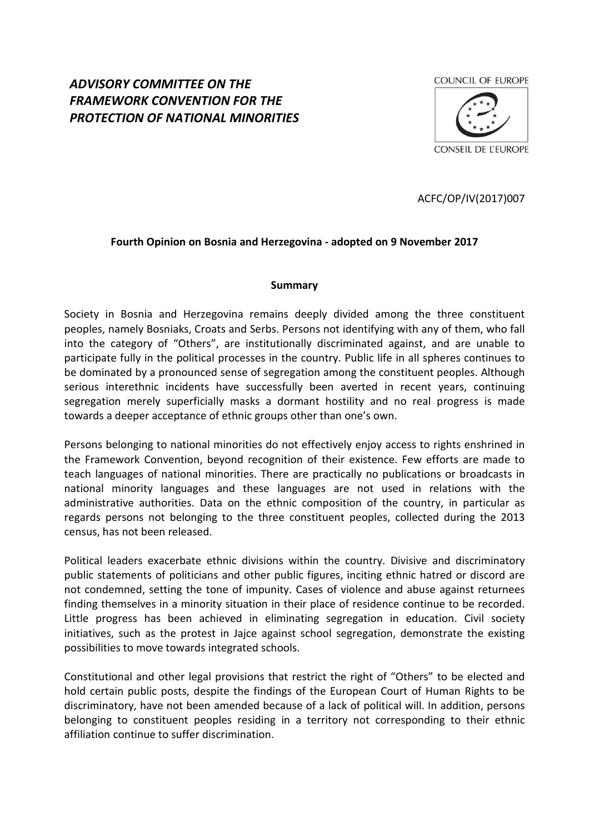# *ADVISORY COMMITTEE ON THE FRAMEWORK CONVENTION FOR THE PROTECTION OF NATIONAL MINORITIES*



ACFC/OP/IV(2017)007

# **Fourth Opinion on Bosnia and Herzegovina - adopted on 9 November 2017**

#### **Summary**

Society in Bosnia and Herzegovina remains deeply divided among the three constituent peoples, namely Bosniaks, Croats and Serbs. Persons not identifying with any of them, who fall into the category of "Others", are institutionally discriminated against, and are unable to participate fully in the political processes in the country. Public life in all spheres continues to be dominated by a pronounced sense of segregation among the constituent peoples. Although serious interethnic incidents have successfully been averted in recent years, continuing segregation merely superficially masks a dormant hostility and no real progress is made towards a deeper acceptance of ethnic groups other than one's own.

Persons belonging to national minorities do not effectively enjoy access to rights enshrined in the Framework Convention, beyond recognition of their existence. Few efforts are made to teach languages of national minorities. There are practically no publications or broadcasts in national minority languages and these languages are not used in relations with the administrative authorities. Data on the ethnic composition of the country, in particular as regards persons not belonging to the three constituent peoples, collected during the 2013 census, has not been released.

Political leaders exacerbate ethnic divisions within the country. Divisive and discriminatory public statements of politicians and other public figures, inciting ethnic hatred or discord are not condemned, setting the tone of impunity. Cases of violence and abuse against returnees finding themselves in a minority situation in their place of residence continue to be recorded. Little progress has been achieved in eliminating segregation in education. Civil society initiatives, such as the protest in Jajce against school segregation, demonstrate the existing possibilities to move towards integrated schools.

Constitutional and other legal provisions that restrict the right of "Others" to be elected and hold certain public posts, despite the findings of the European Court of Human Rights to be discriminatory, have not been amended because of a lack of political will. In addition, persons belonging to constituent peoples residing in a territory not corresponding to their ethnic affiliation continue to suffer discrimination.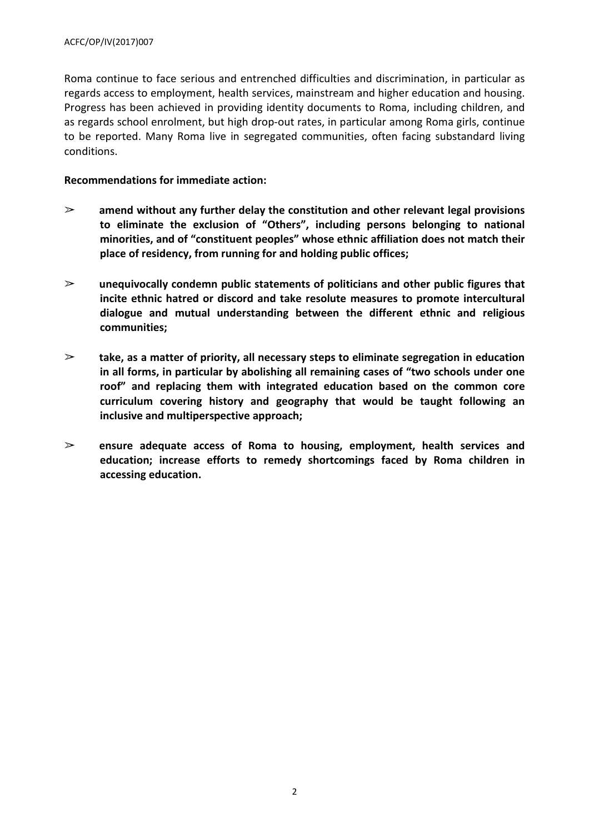Roma continue to face serious and entrenched difficulties and discrimination, in particular as regards access to employment, health services, mainstream and higher education and housing. Progress has been achieved in providing identity documents to Roma, including children, and as regards school enrolment, but high drop-out rates, in particular among Roma girls, continue to be reported. Many Roma live in segregated communities, often facing substandard living conditions.

#### **Recommendations for immediate action:**

- ➢ **amend without any further delay the constitution and other relevant legal provisions to eliminate the exclusion of "Others", including persons belonging to national minorities, and of "constituent peoples" whose ethnic affiliation does not match their place of residency, from running for and holding public offices;**
- ➢ **unequivocally condemn public statements of politicians and other public figures that incite ethnic hatred or discord and take resolute measures to promote intercultural dialogue and mutual understanding between the different ethnic and religious communities;**
- ➢ **take, as a matter of priority, all necessary steps to eliminate segregation in education in all forms, in particular by abolishing all remaining cases of "two schools under one roof" and replacing them with integrated education based on the common core curriculum covering history and geography that would be taught following an inclusive and multiperspective approach;**
- ➢ **ensure adequate access of Roma to housing, employment, health services and education; increase efforts to remedy shortcomings faced by Roma children in accessing education.**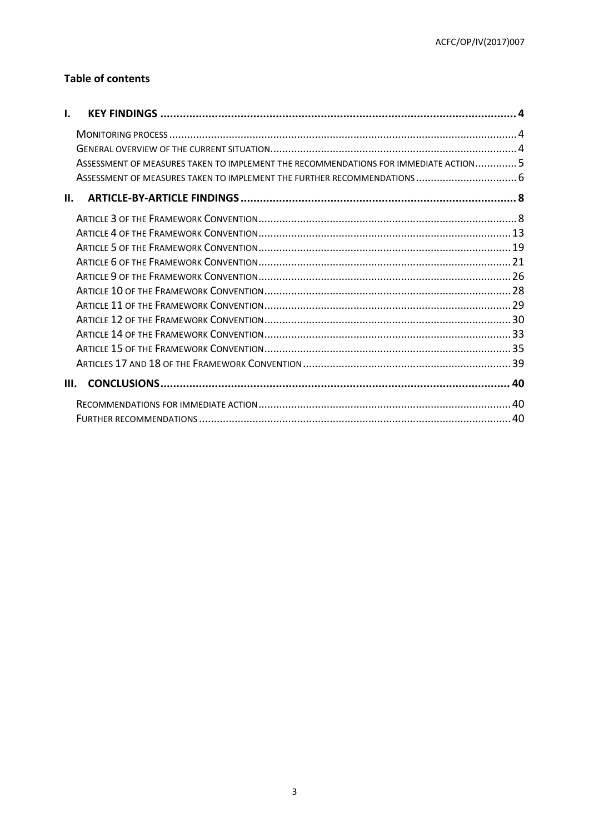# **Table of contents**

| ı.                                                                                   |  |
|--------------------------------------------------------------------------------------|--|
|                                                                                      |  |
|                                                                                      |  |
| ASSESSMENT OF MEASURES TAKEN TO IMPLEMENT THE RECOMMENDATIONS FOR IMMEDIATE ACTION 5 |  |
| ASSESSMENT OF MEASURES TAKEN TO IMPLEMENT THE FURTHER RECOMMENDATIONS 6              |  |
| н.                                                                                   |  |
|                                                                                      |  |
|                                                                                      |  |
|                                                                                      |  |
|                                                                                      |  |
|                                                                                      |  |
|                                                                                      |  |
|                                                                                      |  |
|                                                                                      |  |
|                                                                                      |  |
|                                                                                      |  |
|                                                                                      |  |
| III.                                                                                 |  |
|                                                                                      |  |
|                                                                                      |  |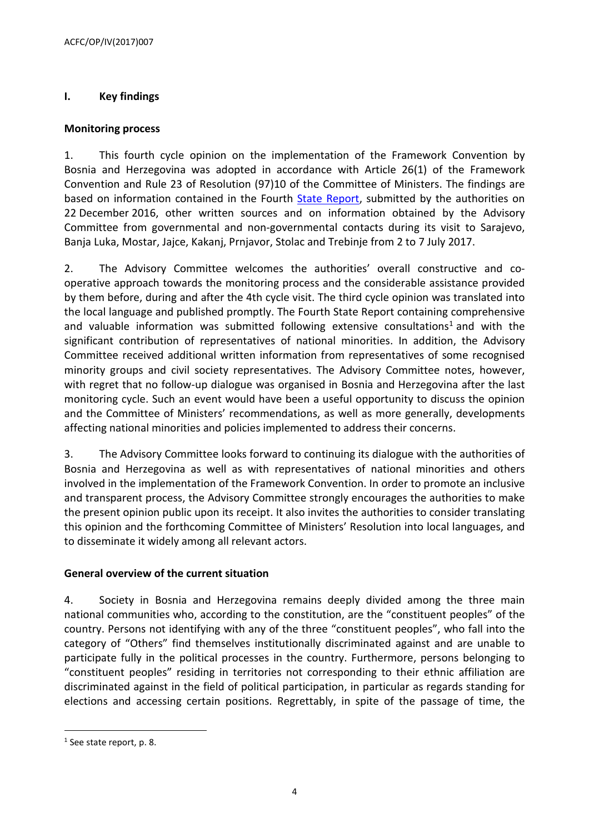# <span id="page-3-0"></span>**I. Key findings**

## <span id="page-3-1"></span>**Monitoring process**

1. This fourth cycle opinion on the implementation of the Framework Convention by Bosnia and Herzegovina was adopted in accordance with Article 26(1) of the Framework Convention and Rule 23 of Resolution (97)10 of the Committee of Ministers. The findings are based on information contained in the Fourth **State Report**, submitted by the authorities on 22 December 2016, other written sources and on information obtained by the Advisory Committee from governmental and non-governmental contacts during its visit to Sarajevo, Banja Luka, Mostar, Jajce, Kakanj, Prnjavor, Stolac and Trebinje from 2 to 7 July 2017.

2. The Advisory Committee welcomes the authorities' overall constructive and cooperative approach towards the monitoring process and the considerable assistance provided by them before, during and after the 4th cycle visit. The third cycle opinion was translated into the local language and published promptly. The Fourth State Report containing comprehensive and valuable information was submitted following extensive consultations<sup>1</sup> and with the significant contribution of representatives of national minorities. In addition, the Advisory Committee received additional written information from representatives of some recognised minority groups and civil society representatives. The Advisory Committee notes, however, with regret that no follow-up dialogue was organised in Bosnia and Herzegovina after the last monitoring cycle. Such an event would have been a useful opportunity to discuss the opinion and the Committee of Ministers' recommendations, as well as more generally, developments affecting national minorities and policies implemented to address their concerns.

3. The Advisory Committee looks forward to continuing its dialogue with the authorities of Bosnia and Herzegovina as well as with representatives of national minorities and others involved in the implementation of the Framework Convention. In order to promote an inclusive and transparent process, the Advisory Committee strongly encourages the authorities to make the present opinion public upon its receipt. It also invites the authorities to consider translating this opinion and the forthcoming Committee of Ministers' Resolution into local languages, and to disseminate it widely among all relevant actors.

# <span id="page-3-2"></span>**General overview of the current situation**

4. Society in Bosnia and Herzegovina remains deeply divided among the three main national communities who, according to the constitution, are the "constituent peoples" of the country. Persons not identifying with any of the three "constituent peoples", who fall into the category of "Others" find themselves institutionally discriminated against and are unable to participate fully in the political processes in the country. Furthermore, persons belonging to "constituent peoples" residing in territories not corresponding to their ethnic affiliation are discriminated against in the field of political participation, in particular as regards standing for elections and accessing certain positions. Regrettably, in spite of the passage of time, the

<sup>&</sup>lt;sup>1</sup> See state report, p. 8.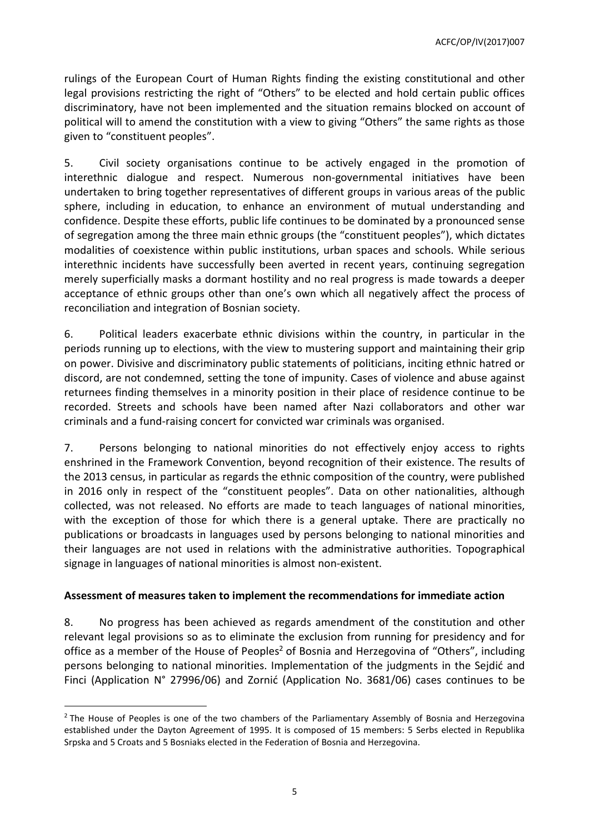rulings of the European Court of Human Rights finding the existing constitutional and other legal provisions restricting the right of "Others" to be elected and hold certain public offices discriminatory, have not been implemented and the situation remains blocked on account of political will to amend the constitution with a view to giving "Others" the same rights as those given to "constituent peoples".

5. Civil society organisations continue to be actively engaged in the promotion of interethnic dialogue and respect. Numerous non-governmental initiatives have been undertaken to bring together representatives of different groups in various areas of the public sphere, including in education, to enhance an environment of mutual understanding and confidence. Despite these efforts, public life continues to be dominated by a pronounced sense of segregation among the three main ethnic groups (the "constituent peoples"), which dictates modalities of coexistence within public institutions, urban spaces and schools. While serious interethnic incidents have successfully been averted in recent years, continuing segregation merely superficially masks a dormant hostility and no real progress is made towards a deeper acceptance of ethnic groups other than one's own which all negatively affect the process of reconciliation and integration of Bosnian society.

6. Political leaders exacerbate ethnic divisions within the country, in particular in the periods running up to elections, with the view to mustering support and maintaining their grip on power. Divisive and discriminatory public statements of politicians, inciting ethnic hatred or discord, are not condemned, setting the tone of impunity. Cases of violence and abuse against returnees finding themselves in a minority position in their place of residence continue to be recorded. Streets and schools have been named after Nazi collaborators and other war criminals and a fund-raising concert for convicted war criminals was organised.

7. Persons belonging to national minorities do not effectively enjoy access to rights enshrined in the Framework Convention, beyond recognition of their existence. The results of the 2013 census, in particular as regards the ethnic composition of the country, were published in 2016 only in respect of the "constituent peoples". Data on other nationalities, although collected, was not released. No efforts are made to teach languages of national minorities, with the exception of those for which there is a general uptake. There are practically no publications or broadcasts in languages used by persons belonging to national minorities and their languages are not used in relations with the administrative authorities. Topographical signage in languages of national minorities is almost non-existent.

#### <span id="page-4-0"></span>**Assessment of measures taken to implement the recommendations for immediate action**

8. No progress has been achieved as regards amendment of the constitution and other relevant legal provisions so as to eliminate the exclusion from running for presidency and for office as a member of the House of Peoples<sup>2</sup> of Bosnia and Herzegovina of "Others", including persons belonging to national minorities. Implementation of the judgments in the Sejdić and Finci (Application N° 27996/06) and Zornić (Application No. 3681/06) cases continues to be

<sup>&</sup>lt;sup>2</sup> The House of Peoples is one of the two chambers of the Parliamentary Assembly of Bosnia and Herzegovina established under the Dayton Agreement of 1995. It is composed of 15 members: 5 Serbs elected in Republika Srpska and 5 Croats and 5 Bosniaks elected in the Federation of Bosnia and Herzegovina.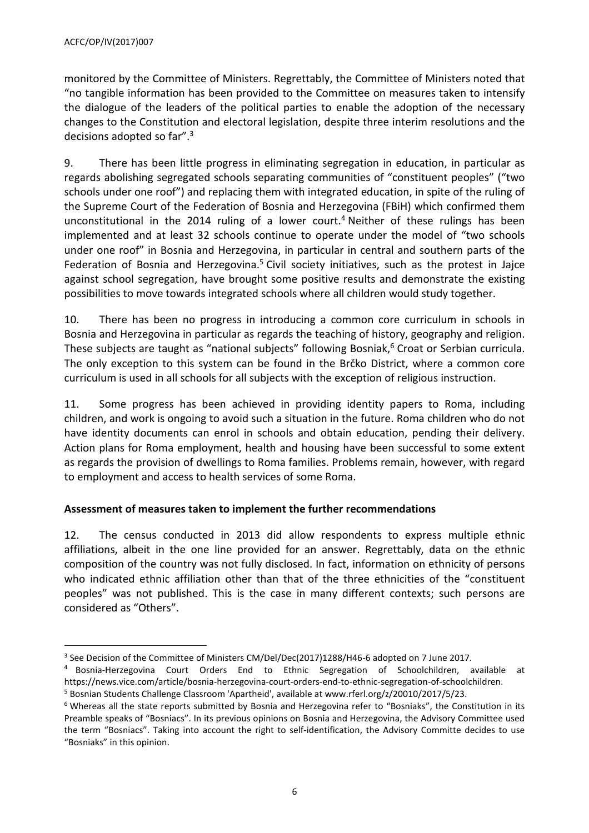monitored by the Committee of Ministers. Regrettably, the Committee of Ministers noted that "no tangible information has been provided to the Committee on measures taken to intensify the dialogue of the leaders of the political parties to enable the adoption of the necessary changes to the Constitution and electoral legislation, despite three interim resolutions and the decisions adopted so far".<sup>3</sup>

9. There has been little progress in eliminating segregation in education, in particular as regards abolishing segregated schools separating communities of "constituent peoples" ("two schools under one roof") and replacing them with integrated education, in spite of the ruling of the Supreme Court of the Federation of Bosnia and Herzegovina (FBiH) which confirmed them unconstitutional in the 2014 ruling of a lower court. <sup>4</sup> Neither of these rulings has been implemented and at least 32 schools continue to operate under the model of "two schools under one roof" in Bosnia and Herzegovina, in particular in central and southern parts of the Federation of Bosnia and Herzegovina.<sup>5</sup> Civil society initiatives, such as the protest in Jajce against school segregation, have brought some positive results and demonstrate the existing possibilities to move towards integrated schools where all children would study together.

10. There has been no progress in introducing a common core curriculum in schools in Bosnia and Herzegovina in particular as regards the teaching of history, geography and religion. These subjects are taught as "national subjects" following Bosniak, <sup>6</sup> Croat or Serbian curricula. The only exception to this system can be found in the Brčko District, where a common core curriculum is used in all schools for all subjects with the exception of religious instruction.

11. Some progress has been achieved in providing identity papers to Roma, including children, and work is ongoing to avoid such a situation in the future. Roma children who do not have identity documents can enrol in schools and obtain education, pending their delivery. Action plans for Roma employment, health and housing have been successful to some extent as regards the provision of dwellings to Roma families. Problems remain, however, with regard to employment and access to health services of some Roma.

# <span id="page-5-0"></span>**Assessment of measures taken to implement the further recommendations**

12. The census conducted in 2013 did allow respondents to express multiple ethnic affiliations, albeit in the one line provided for an answer. Regrettably, data on the ethnic composition of the country was not fully disclosed. In fact, information on ethnicity of persons who indicated ethnic affiliation other than that of the three ethnicities of the "constituent peoples" was not published. This is the case in many different contexts; such persons are considered as "Others".

 $^3$  See Decision of the Committee of Ministers CM/Del/Dec(2017)1288/H46-6 adopted on 7 June 2017.

<sup>4</sup> Bosnia-Herzegovina Court Orders End to Ethnic Segregation of Schoolchildren, available at [https://news.vice.com/article/bosnia-herzegovina-court-orders-end-to-ethnic-segregation-of-schoolchildren.](https://news.vice.com/article/bosnia-herzegovina-court-orders-end-to-ethnic-segregation-of-schoolchildren)

<sup>&</sup>lt;sup>5</sup> Bosnian Students Challenge Classroom 'Apartheid', available at www.rferl.org/z/20010/2017/5/23.

<sup>&</sup>lt;sup>6</sup> Whereas all the state reports submitted by Bosnia and Herzegovina refer to "Bosniaks", the Constitution in its Preamble speaks of "Bosniacs". In its previous opinions on Bosnia and Herzegovina, the Advisory Committee used the term "Bosniacs". Taking into account the right to self-identification, the Advisory Committe decides to use "Bosniaks" in this opinion.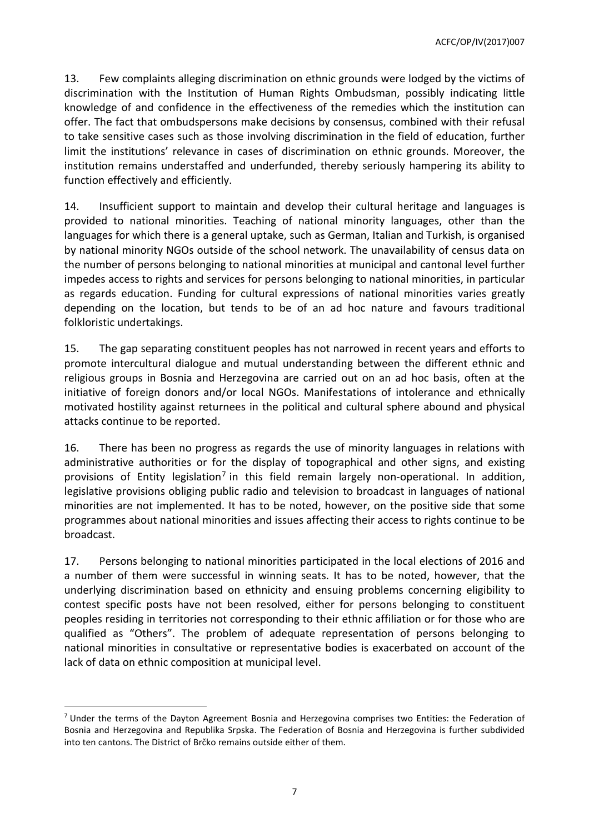13. Few complaints alleging discrimination on ethnic grounds were lodged by the victims of discrimination with the Institution of Human Rights Ombudsman, possibly indicating little knowledge of and confidence in the effectiveness of the remedies which the institution can offer. The fact that ombudspersons make decisions by consensus, combined with their refusal to take sensitive cases such as those involving discrimination in the field of education, further limit the institutions' relevance in cases of discrimination on ethnic grounds. Moreover, the institution remains understaffed and underfunded, thereby seriously hampering its ability to function effectively and efficiently.

14. Insufficient support to maintain and develop their cultural heritage and languages is provided to national minorities. Teaching of national minority languages, other than the languages for which there is a general uptake, such as German, Italian and Turkish, is organised by national minority NGOs outside of the school network. The unavailability of census data on the number of persons belonging to national minorities at municipal and cantonal level further impedes access to rights and services for persons belonging to national minorities, in particular as regards education. Funding for cultural expressions of national minorities varies greatly depending on the location, but tends to be of an ad hoc nature and favours traditional folkloristic undertakings.

15. The gap separating constituent peoples has not narrowed in recent years and efforts to promote intercultural dialogue and mutual understanding between the different ethnic and religious groups in Bosnia and Herzegovina are carried out on an ad hoc basis, often at the initiative of foreign donors and/or local NGOs. Manifestations of intolerance and ethnically motivated hostility against returnees in the political and cultural sphere abound and physical attacks continue to be reported.

16. There has been no progress as regards the use of minority languages in relations with administrative authorities or for the display of topographical and other signs, and existing provisions of Entity legislation<sup>7</sup> in this field remain largely non-operational. In addition, legislative provisions obliging public radio and television to broadcast in languages of national minorities are not implemented. It has to be noted, however, on the positive side that some programmes about national minorities and issues affecting their access to rights continue to be broadcast.

17. Persons belonging to national minorities participated in the local elections of 2016 and a number of them were successful in winning seats. It has to be noted, however, that the underlying discrimination based on ethnicity and ensuing problems concerning eligibility to contest specific posts have not been resolved, either for persons belonging to constituent peoples residing in territories not corresponding to their ethnic affiliation or for those who are qualified as "Others". The problem of adequate representation of persons belonging to national minorities in consultative or representative bodies is exacerbated on account of the lack of data on ethnic composition at municipal level.

<sup>&</sup>lt;sup>7</sup> Under the terms of the Dayton Agreement Bosnia and Herzegovina comprises two Entities: the Federation of Bosnia and Herzegovina and Republika Srpska. The Federation of Bosnia and Herzegovina is further subdivided into ten cantons. The District of Brčko remains outside either of them.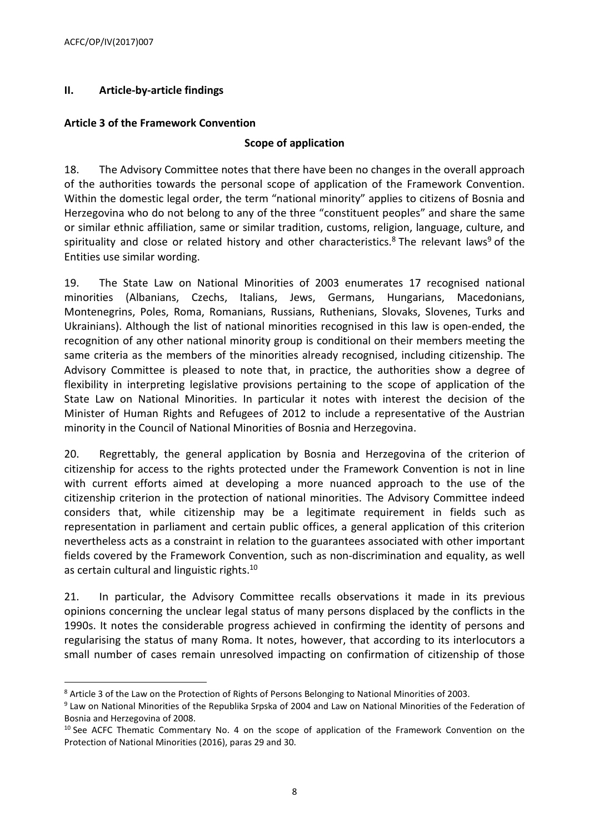# <span id="page-7-0"></span>**II. Article-by-article findings**

## <span id="page-7-1"></span>**Article 3 of the Framework Convention**

#### **Scope of application**

18. The Advisory Committee notes that there have been no changes in the overall approach of the authorities towards the personal scope of application of the Framework Convention. Within the domestic legal order, the term "national minority" applies to citizens of Bosnia and Herzegovina who do not belong to any of the three "constituent peoples" and share the same or similar ethnic affiliation, same or similar tradition, customs, religion, language, culture, and spirituality and close or related history and other characteristics.<sup>8</sup> The relevant laws<sup>9</sup> of the Entities use similar wording.

19. The State Law on National Minorities of 2003 enumerates 17 recognised national minorities (Albanians, Czechs, Italians, Jews, Germans, Hungarians, Macedonians, Montenegrins, Poles, Roma, Romanians, Russians, Ruthenians, Slovaks, Slovenes, Turks and Ukrainians). Although the list of national minorities recognised in this law is open-ended, the recognition of any other national minority group is conditional on their members meeting the same criteria as the members of the minorities already recognised, including citizenship. The Advisory Committee is pleased to note that, in practice, the authorities show a degree of flexibility in interpreting legislative provisions pertaining to the scope of application of the State Law on National Minorities. In particular it notes with interest the decision of the Minister of Human Rights and Refugees of 2012 to include a representative of the Austrian minority in the Council of National Minorities of Bosnia and Herzegovina.

20. Regrettably, the general application by Bosnia and Herzegovina of the criterion of citizenship for access to the rights protected under the Framework Convention is not in line with current efforts aimed at developing a more nuanced approach to the use of the citizenship criterion in the protection of national minorities. The Advisory Committee indeed considers that, while citizenship may be a legitimate requirement in fields such as representation in parliament and certain public offices, a general application of this criterion nevertheless acts as a constraint in relation to the guarantees associated with other important fields covered by the Framework Convention, such as non-discrimination and equality, as well as certain cultural and linguistic rights.<sup>10</sup>

21. In particular, the Advisory Committee recalls observations it made in its previous opinions concerning the unclear legal status of many persons displaced by the conflicts in the 1990s. It notes the considerable progress achieved in confirming the identity of persons and regularising the status of many Roma. It notes, however, that according to its interlocutors a small number of cases remain unresolved impacting on confirmation of citizenship of those

<sup>8</sup> Article 3 of the Law on the Protection of Rights of Persons Belonging to National Minorities of 2003.

<sup>9</sup> Law on National Minorities of the Republika Srpska of 2004 and Law on National Minorities of the Federation of Bosnia and Herzegovina of 2008.

 $10$  See ACFC Thematic Commentary No. 4 on the scope of application of the Framework Convention on the Protection of National Minorities (2016), paras 29 and 30.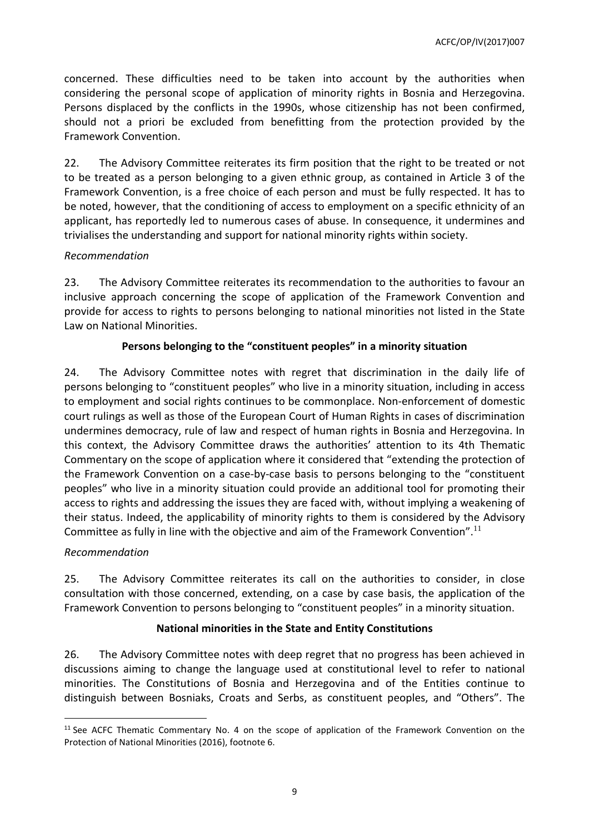concerned. These difficulties need to be taken into account by the authorities when considering the personal scope of application of minority rights in Bosnia and Herzegovina. Persons displaced by the conflicts in the 1990s, whose citizenship has not been confirmed, should not a priori be excluded from benefitting from the protection provided by the Framework Convention.

22. The Advisory Committee reiterates its firm position that the right to be treated or not to be treated as a person belonging to a given ethnic group, as contained in Article 3 of the Framework Convention, is a free choice of each person and must be fully respected. It has to be noted, however, that the conditioning of access to employment on a specific ethnicity of an applicant, has reportedly led to numerous cases of abuse. In consequence, it undermines and trivialises the understanding and support for national minority rights within society.

## *Recommendation*

23. The Advisory Committee reiterates its recommendation to the authorities to favour an inclusive approach concerning the scope of application of the Framework Convention and provide for access to rights to persons belonging to national minorities not listed in the State Law on National Minorities.

# **Persons belonging to the "constituent peoples" in a minority situation**

24. The Advisory Committee notes with regret that discrimination in the daily life of persons belonging to "constituent peoples" who live in a minority situation, including in access to employment and social rights continues to be commonplace. Non-enforcement of domestic court rulings as well as those of the European Court of Human Rights in cases of discrimination undermines democracy, rule of law and respect of human rights in Bosnia and Herzegovina. In this context, the Advisory Committee draws the authorities' attention to its 4th Thematic Commentary on the scope of application where it considered that "extending the protection of the Framework Convention on a case-by-case basis to persons belonging to the "constituent peoples" who live in a minority situation could provide an additional tool for promoting their access to rights and addressing the issues they are faced with, without implying a weakening of their status. Indeed, the applicability of minority rights to them is considered by the Advisory Committee as fully in line with the objective and aim of the Framework Convention".<sup>11</sup>

# *Recommendation*

 $\overline{a}$ 

25. The Advisory Committee reiterates its call on the authorities to consider, in close consultation with those concerned, extending, on a case by case basis, the application of the Framework Convention to persons belonging to "constituent peoples" in a minority situation.

# **National minorities in the State and Entity Constitutions**

26. The Advisory Committee notes with deep regret that no progress has been achieved in discussions aiming to change the language used at constitutional level to refer to national minorities. The Constitutions of Bosnia and Herzegovina and of the Entities continue to distinguish between Bosniaks, Croats and Serbs, as constituent peoples, and "Others". The

<sup>&</sup>lt;sup>11</sup> See ACFC Thematic Commentary No. 4 on the scope of application of the Framework Convention on the Protection of National Minorities (2016), footnote 6.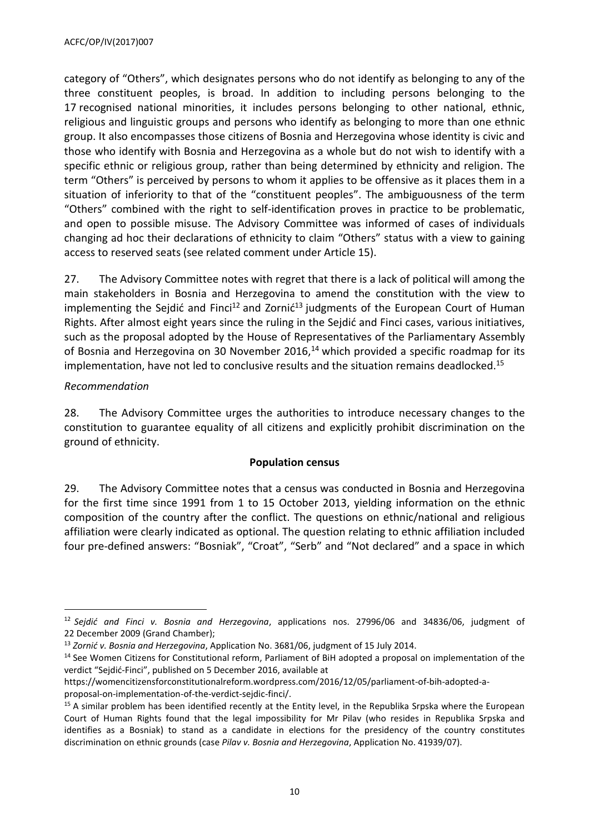category of "Others", which designates persons who do not identify as belonging to any of the three constituent peoples, is broad. In addition to including persons belonging to the 17 recognised national minorities, it includes persons belonging to other national, ethnic, religious and linguistic groups and persons who identify as belonging to more than one ethnic group. It also encompasses those citizens of Bosnia and Herzegovina whose identity is civic and those who identify with Bosnia and Herzegovina as a whole but do not wish to identify with a specific ethnic or religious group, rather than being determined by ethnicity and religion. The term "Others" is perceived by persons to whom it applies to be offensive as it places them in a situation of inferiority to that of the "constituent peoples". The ambiguousness of the term "Others" combined with the right to self-identification proves in practice to be problematic, and open to possible misuse. The Advisory Committee was informed of cases of individuals changing ad hoc their declarations of ethnicity to claim "Others" status with a view to gaining access to reserved seats (see related comment under Article 15).

27. The Advisory Committee notes with regret that there is a lack of political will among the main stakeholders in Bosnia and Herzegovina to amend the constitution with the view to implementing the Sejdić and Finci<sup>12</sup> and Zornić<sup>13</sup> judgments of the European Court of Human Rights. After almost eight years since the ruling in the Sejdić and Finci cases, various initiatives, such as the proposal adopted by the House of Representatives of the Parliamentary Assembly of Bosnia and Herzegovina on 30 November 2016, $14$  which provided a specific roadmap for its implementation, have not led to conclusive results and the situation remains deadlocked. 15

# *Recommendation*

 $\overline{a}$ 

28. The Advisory Committee urges the authorities to introduce necessary changes to the constitution to guarantee equality of all citizens and explicitly prohibit discrimination on the ground of ethnicity.

# **Population census**

29. The Advisory Committee notes that a census was conducted in Bosnia and Herzegovina for the first time since 1991 from 1 to 15 October 2013, yielding information on the ethnic composition of the country after the conflict. The questions on ethnic/national and religious affiliation were clearly indicated as optional. The question relating to ethnic affiliation included four pre-defined answers: "Bosniak", "Croat", "Serb" and "Not declared" and a space in which

<sup>12</sup> *Sejdić and Finci v. Bosnia and Herzegovina*, applications nos. 27996/06 and 34836/06, judgment of 22 December 2009 (Grand Chamber);

<sup>13</sup> *Zornić v. Bosnia and Herzegovina*, Application No. 3681/06, judgment of 15 July 2014.

<sup>&</sup>lt;sup>14</sup> See Women Citizens for Constitutional reform, Parliament of BiH adopted a proposal on implementation of the verdict "Sejdić-Finci", published on 5 December 2016, available at

[https://womencitizensforconstitutionalreform.wordpress.com/2016/12/05/parliament-of-bih-adopted-a](https://womencitizensforconstitutionalreform.wordpress.com/2016/12/05/parliament-of-bih-adopted-a-proposal-on-implementation-of-the-verdict-sejdic-finci/)[proposal-on-implementation-of-the-verdict-sejdic-finci/.](https://womencitizensforconstitutionalreform.wordpress.com/2016/12/05/parliament-of-bih-adopted-a-proposal-on-implementation-of-the-verdict-sejdic-finci/)

<sup>&</sup>lt;sup>15</sup> A similar problem has been identified recently at the Entity level, in the Republika Srpska where the European Court of Human Rights found that the legal impossibility for Mr Pilav (who resides in Republika Srpska and identifies as a Bosniak) to stand as a candidate in elections for the presidency of the country constitutes discrimination on ethnic grounds (case *Pilav v. Bosnia and Herzegovina*, Application No. 41939/07).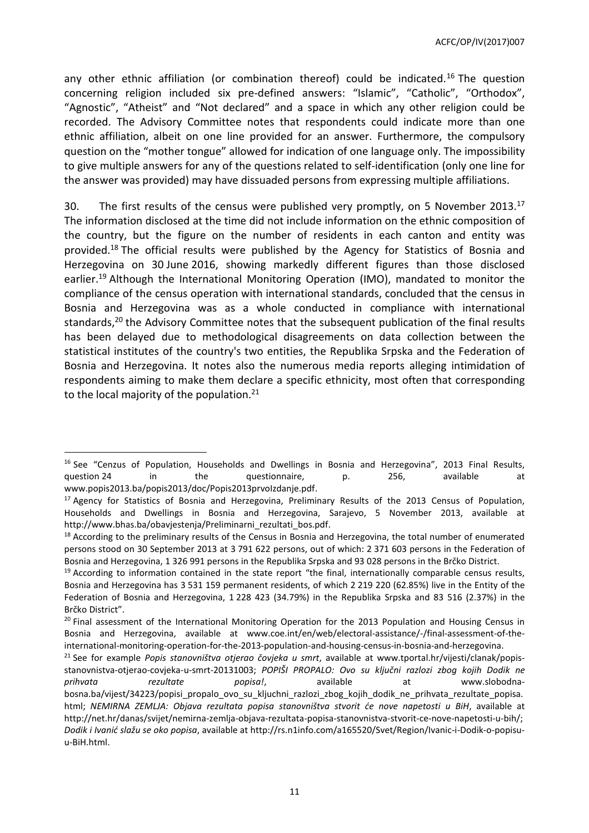any other ethnic affiliation (or combination thereof) could be indicated.<sup>16</sup> The question concerning religion included six pre-defined answers: "Islamic", "Catholic", "Orthodox", "Agnostic", "Atheist" and "Not declared" and a space in which any other religion could be recorded. The Advisory Committee notes that respondents could indicate more than one ethnic affiliation, albeit on one line provided for an answer. Furthermore, the compulsory question on the "mother tongue" allowed for indication of one language only. The impossibility to give multiple answers for any of the questions related to self-identification (only one line for the answer was provided) may have dissuaded persons from expressing multiple affiliations.

30. The first results of the census were published very promptly, on 5 November 2013.<sup>17</sup> The information disclosed at the time did not include information on the ethnic composition of the country, but the figure on the number of residents in each canton and entity was provided.<sup>18</sup> The official results were published by the Agency for Statistics of Bosnia and Herzegovina on 30 June 2016, showing markedly different figures than those disclosed earlier.<sup>19</sup> Although the International Monitoring Operation (IMO), mandated to monitor the compliance of the census operation with international standards, concluded that the census in Bosnia and Herzegovina was as a whole conducted in compliance with international standards, <sup>20</sup> the Advisory Committee notes that the subsequent publication of the final results has been delayed due to methodological disagreements on data collection between the statistical institutes of the country's two entities, the Republika Srpska and the Federation of Bosnia and Herzegovina. It notes also the numerous media reports alleging intimidation of respondents aiming to make them declare a specific ethnicity, most often that corresponding to the local majority of the population. $21$ 

<sup>&</sup>lt;sup>16</sup> See "Cenzus of Population, Households and Dwellings in Bosnia and Herzegovina", 2013 Final Results, question 24 in the questionnaire, p. 256, available at [www.popis2013.ba/popis2013/doc/Popis2013prvoIzdanje.pdf.](http://www.popis2013.ba/popis2013/doc/Popis2013prvoIzdanje.pdf)

<sup>&</sup>lt;sup>17</sup> Agency for Statistics of Bosnia and Herzegovina, Preliminary Results of the 2013 Census of Population, Households and Dwellings in Bosnia and Herzegovina, Sarajevo, 5 November 2013, available at [http://www.bhas.ba/obavjestenja/Preliminarni\\_rezultati\\_bos.pdf.](http://www.bhas.ba/obavjestenja/Preliminarni_rezultati_bos.pdf)

 $18$  According to the preliminary results of the Census in Bosnia and Herzegovina, the total number of enumerated persons stood on 30 September 2013 at 3 791 622 persons, out of which: 2 371 603 persons in the Federation of Bosnia and Herzegovina, 1 326 991 persons in the Republika Srpska and 93 028 persons in the Brčko District.

 $19$  According to information contained in the state report "the final, internationally comparable census results, Bosnia and Herzegovina has 3 531 159 permanent residents, of which 2 219 220 (62.85%) live in the Entity of the Federation of Bosnia and Herzegovina, 1 228 423 (34.79%) in the Republika Srpska and 83 516 (2.37%) in the Brčko District".

<sup>&</sup>lt;sup>20</sup> Final assessment of the International Monitoring Operation for the 2013 Population and Housing Census in Bosnia and Herzegovina, available at [www.coe.int/en/web/electoral-assistance/-/final-assessment-of-the](http://www.coe.int/en/web/electoral-assistance/-/final-assessment-of-the-international-monitoring-operation-for-the-2013-population-and-housing-census-in-bosnia-and-herzegovina)[international-monitoring-operation-for-the-2013-population-and-housing-census-in-bosnia-and-herzegovina.](http://www.coe.int/en/web/electoral-assistance/-/final-assessment-of-the-international-monitoring-operation-for-the-2013-population-and-housing-census-in-bosnia-and-herzegovina)

<sup>21</sup> See for example *Popis stanovništva otjerao čovjeka u smrt*, available at www.tportal.hr/vijesti/clanak/popisstanovnistva-otjerao-covjeka-u-smrt-20131003; *POPIŠI PROPALO: Ovo su ključni razlozi zbog kojih Dodik ne prihvata rezultate popisa!*, available at [www.slobodna](http://www.slobodna-bosna.ba/vijest/34223/popisi_propalo_ovo_su_kljuchni_razlozi_zbog_kojih_dodik_ne_prihvata_rezultate_popisa.html)[bosna.ba/vijest/34223/popisi\\_propalo\\_ovo\\_su\\_kljuchni\\_razlozi\\_zbog\\_kojih\\_dodik\\_ne\\_prihvata\\_rezultate\\_popisa.](http://www.slobodna-bosna.ba/vijest/34223/popisi_propalo_ovo_su_kljuchni_razlozi_zbog_kojih_dodik_ne_prihvata_rezultate_popisa.html) [html;](http://www.slobodna-bosna.ba/vijest/34223/popisi_propalo_ovo_su_kljuchni_razlozi_zbog_kojih_dodik_ne_prihvata_rezultate_popisa.html) *NEMIRNA ZEMLJA: Objava rezultata popisa stanovništva stvorit će nove napetosti u BiH*, available at [http://net.hr/danas/svijet/nemirna-zemlja-objava-rezultata-popisa-stanovnistva-stvorit-ce-nove-napetosti-u-bih/;](http://net.hr/danas/svijet/nemirna-zemlja-objava-rezultata-popisa-stanovnistva-stvorit-ce-nove-napetosti-u-bih/) *Dodik i Ivanić slažu se oko popisa*, available at http://rs.n1info.com/a165520/Svet/Region/Ivanic-i-Dodik-o-popisuu-BiH.html.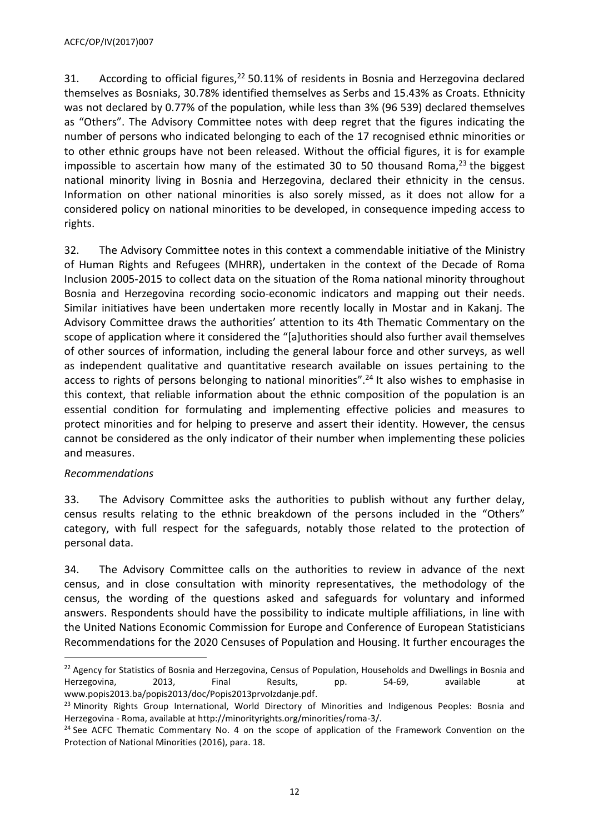31. According to official figures, <sup>22</sup> 50.11% of residents in Bosnia and Herzegovina declared themselves as Bosniaks, 30.78% identified themselves as Serbs and 15.43% as Croats. Ethnicity was not declared by 0.77% of the population, while less than 3% (96 539) declared themselves as "Others". The Advisory Committee notes with deep regret that the figures indicating the number of persons who indicated belonging to each of the 17 recognised ethnic minorities or to other ethnic groups have not been released. Without the official figures, it is for example impossible to ascertain how many of the estimated 30 to 50 thousand Roma, $^{23}$  the biggest national minority living in Bosnia and Herzegovina, declared their ethnicity in the census. Information on other national minorities is also sorely missed, as it does not allow for a considered policy on national minorities to be developed, in consequence impeding access to rights.

32. The Advisory Committee notes in this context a commendable initiative of the Ministry of Human Rights and Refugees (MHRR), undertaken in the context of the Decade of Roma Inclusion 2005-2015 to collect data on the situation of the Roma national minority throughout Bosnia and Herzegovina recording socio-economic indicators and mapping out their needs. Similar initiatives have been undertaken more recently locally in Mostar and in Kakanj. The Advisory Committee draws the authorities' attention to its 4th Thematic Commentary on the scope of application where it considered the "[a]uthorities should also further avail themselves of other sources of information, including the general labour force and other surveys, as well as independent qualitative and quantitative research available on issues pertaining to the access to rights of persons belonging to national minorities".<sup>24</sup> It also wishes to emphasise in this context, that reliable information about the ethnic composition of the population is an essential condition for formulating and implementing effective policies and measures to protect minorities and for helping to preserve and assert their identity. However, the census cannot be considered as the only indicator of their number when implementing these policies and measures.

# *Recommendations*

 $\overline{a}$ 

33. The Advisory Committee asks the authorities to publish without any further delay, census results relating to the ethnic breakdown of the persons included in the "Others" category, with full respect for the safeguards, notably those related to the protection of personal data.

34. The Advisory Committee calls on the authorities to review in advance of the next census, and in close consultation with minority representatives, the methodology of the census, the wording of the questions asked and safeguards for voluntary and informed answers. Respondents should have the possibility to indicate multiple affiliations, in line with the United Nations Economic Commission for Europe and Conference of European Statisticians Recommendations for the 2020 Censuses of Population and Housing. It further encourages the

 $22$  Agency for Statistics of Bosnia and Herzegovina, Census of Population, Households and Dwellings in Bosnia and Herzegovina, 2013, Final Results, pp. 54-69, available at [www.popis2013.ba/popis2013/doc/Popis2013prvoIzdanje.pdf.](http://www.popis2013.ba/popis2013/doc/Popis2013prvoIzdanje.pdf)

<sup>&</sup>lt;sup>23</sup> Minority Rights Group International, World Directory of Minorities and Indigenous Peoples: Bosnia and Herzegovina - Roma, available at [http://minorityrights.org/minorities/roma-3/.](http://minorityrights.org/minorities/roma-3/)

<sup>&</sup>lt;sup>24</sup> See ACFC Thematic Commentary No. 4 on the scope of application of the Framework Convention on the Protection of National Minorities (2016), para. 18.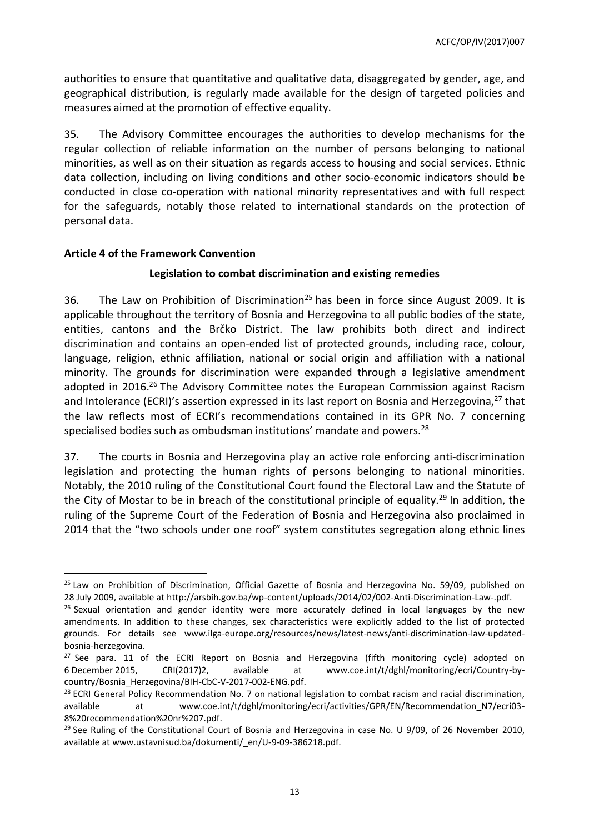authorities to ensure that quantitative and qualitative data, disaggregated by gender, age, and geographical distribution, is regularly made available for the design of targeted policies and measures aimed at the promotion of effective equality.

35. The Advisory Committee encourages the authorities to develop mechanisms for the regular collection of reliable information on the number of persons belonging to national minorities, as well as on their situation as regards access to housing and social services. Ethnic data collection, including on living conditions and other socio-economic indicators should be conducted in close co-operation with national minority representatives and with full respect for the safeguards, notably those related to international standards on the protection of personal data.

## <span id="page-12-0"></span>**Article 4 of the Framework Convention**

 $\overline{a}$ 

## **Legislation to combat discrimination and existing remedies**

36. The Law on Prohibition of Discrimination<sup>25</sup> has been in force since August 2009. It is applicable throughout the territory of Bosnia and Herzegovina to all public bodies of the state, entities, cantons and the Brčko District. The law prohibits both direct and indirect discrimination and contains an open-ended list of protected grounds, including race, colour, language, religion, ethnic affiliation, national or social origin and affiliation with a national minority. The grounds for discrimination were expanded through a legislative amendment adopted in 2016.<sup>26</sup> The Advisory Committee notes the European Commission against Racism and Intolerance (ECRI)'s assertion expressed in its last report on Bosnia and Herzegovina, $^{27}$  that the law reflects most of ECRI's recommendations contained in its GPR No. 7 concerning specialised bodies such as ombudsman institutions' mandate and powers.<sup>28</sup>

37. The courts in Bosnia and Herzegovina play an active role enforcing anti-discrimination legislation and protecting the human rights of persons belonging to national minorities. Notably, the 2010 ruling of the Constitutional Court found the Electoral Law and the Statute of the City of Mostar to be in breach of the constitutional principle of equality.<sup>29</sup> In addition, the ruling of the Supreme Court of the Federation of Bosnia and Herzegovina also proclaimed in 2014 that the "two schools under one roof" system constitutes segregation along ethnic lines

<sup>&</sup>lt;sup>25</sup> Law on Prohibition of Discrimination, Official Gazette of Bosnia and Herzegovina No. 59/09, published on 28 July 2009, available at [http://arsbih.gov.ba/wp-content/uploads/2014/02/002-Anti-Discrimination-Law-.pdf.](http://arsbih.gov.ba/wp-content/uploads/2014/02/002-Anti-Discrimination-Law-.pdf)

 $26$  Sexual orientation and gender identity were more accurately defined in local languages by the new amendments. In addition to these changes, sex characteristics were explicitly added to the list of protected grounds. For details see [www.ilga-europe.org/resources/news/latest-news/anti-discrimination-law-updated](http://www.ilga-europe.org/resources/news/latest-news/anti-discrimination-law-updated-bosnia-herzegovina)[bosnia-herzegovina.](http://www.ilga-europe.org/resources/news/latest-news/anti-discrimination-law-updated-bosnia-herzegovina)

 $27$  See para. 11 of the ECRI Report on Bosnia and Herzegovina (fifth monitoring cycle) adopted on 6 December 2015, CRI(2017)2, available at www.coe.int/t/dghl/monitoring/ecri/Country-bycountry/Bosnia\_Herzegovina/BIH-CbC-V-2017-002-ENG.pdf.

<sup>&</sup>lt;sup>28</sup> ECRI General Policy Recommendation No. 7 on national legislation to combat racism and racial discrimination, available at www.coe.int/t/dghl/monitoring/ecri/activities/GPR/EN/Recommendation N7/ecri03-[8%20recommendation%20nr%207.pdf.](http://www.coe.int/t/dghl/monitoring/ecri/activities/GPR/EN/Recommendation_N7/ecri03-8%20recommendation%20nr%207.pdf)

 $^{29}$  See Ruling of the Constitutional Court of Bosnia and Herzegovina in case No. U 9/09, of 26 November 2010, available at www.ustavnisud.ba/dokumenti/\_en/U-9-09-386218.pdf.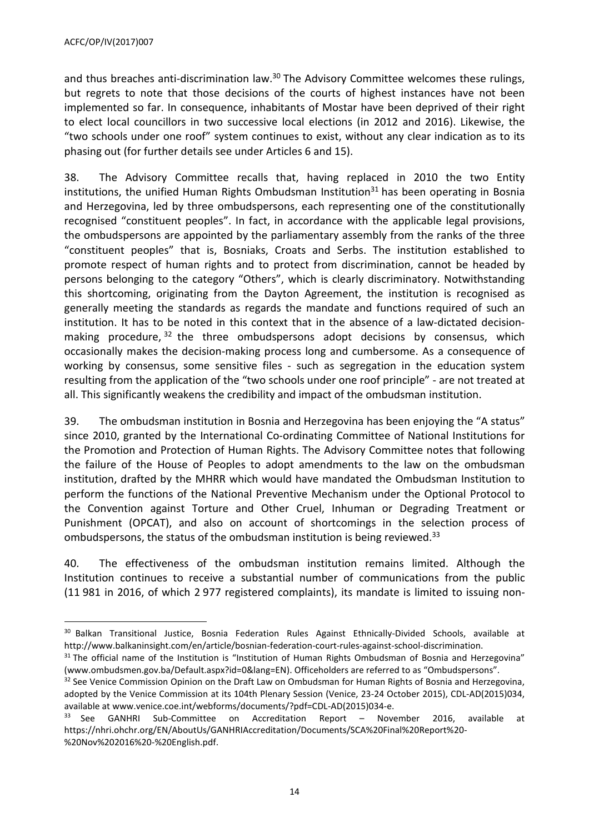and thus breaches anti-discrimination law.<sup>30</sup> The Advisory Committee welcomes these rulings, but regrets to note that those decisions of the courts of highest instances have not been implemented so far. In consequence, inhabitants of Mostar have been deprived of their right to elect local councillors in two successive local elections (in 2012 and 2016). Likewise, the "two schools under one roof" system continues to exist, without any clear indication as to its phasing out (for further details see under Articles 6 and 15).

38. The Advisory Committee recalls that, having replaced in 2010 the two Entity institutions, the unified Human Rights Ombudsman Institution<sup>31</sup> has been operating in Bosnia and Herzegovina, led by three ombudspersons, each representing one of the constitutionally recognised "constituent peoples". In fact, in accordance with the applicable legal provisions, the ombudspersons are appointed by the parliamentary assembly from the ranks of the three "constituent peoples" that is, Bosniaks, Croats and Serbs. The institution established to promote respect of human rights and to protect from discrimination, cannot be headed by persons belonging to the category "Others", which is clearly discriminatory. Notwithstanding this shortcoming, originating from the Dayton Agreement, the institution is recognised as generally meeting the standards as regards the mandate and functions required of such an institution. It has to be noted in this context that in the absence of a law-dictated decisionmaking procedure,<sup>32</sup> the three ombudspersons adopt decisions by consensus, which occasionally makes the decision-making process long and cumbersome. As a consequence of working by consensus, some sensitive files - such as segregation in the education system resulting from the application of the "two schools under one roof principle" - are not treated at all. This significantly weakens the credibility and impact of the ombudsman institution.

39. The ombudsman institution in Bosnia and Herzegovina has been enjoying the "A status" since 2010, granted by the International Co-ordinating Committee of National Institutions for the Promotion and Protection of Human Rights. The Advisory Committee notes that following the failure of the House of Peoples to adopt amendments to the law on the ombudsman institution, drafted by the MHRR which would have mandated the Ombudsman Institution to perform the functions of the National Preventive Mechanism under the Optional Protocol to the Convention against Torture and Other Cruel, Inhuman or Degrading Treatment or Punishment (OPCAT), and also on account of shortcomings in the selection process of ombudspersons, the status of the ombudsman institution is being reviewed.<sup>33</sup>

40. The effectiveness of the ombudsman institution remains limited. Although the Institution continues to receive a substantial number of communications from the public (11 981 in 2016, of which 2 977 registered complaints), its mandate is limited to issuing non-

<sup>&</sup>lt;sup>30</sup> Balkan Transitional Justice, Bosnia Federation Rules Against Ethnically-Divided Schools, available at http://www.balkaninsight.com/en/article/bosnian-federation-court-rules-against-school-discrimination.

 $31$  The official name of the Institution is "Institution of Human Rights Ombudsman of Bosnia and Herzegovina" [\(www.ombudsmen.gov.ba/Default.aspx?id=0&lang=EN\)](http://www.ombudsmen.gov.ba/Default.aspx?id=0&lang=EN). Officeholders are referred to as "Ombudspersons".

 $32$  See Venice Commission Opinion on the Draft Law on Ombudsman for Human Rights of Bosnia and Herzegovina, adopted by the Venice Commission at its 104th Plenary Session (Venice, 23-24 October 2015), CDL-AD(2015)034, available at www.venice.coe.int/webforms/documents/?pdf=CDL-AD(2015)034-e.

<sup>&</sup>lt;sup>33</sup> See GANHRI Sub-Committee on Accreditation Report - November 2016, available at [https://nhri.ohchr.org/EN/AboutUs/GANHRIAccreditation/Documents/SCA%20Final%20Report%20-](https://nhri.ohchr.org/EN/AboutUs/GANHRIAccreditation/Documents/SCA%20Final%20Report%20-%20Nov%202016%20-%20English.pdf) [%20Nov%202016%20-%20English.pdf.](https://nhri.ohchr.org/EN/AboutUs/GANHRIAccreditation/Documents/SCA%20Final%20Report%20-%20Nov%202016%20-%20English.pdf)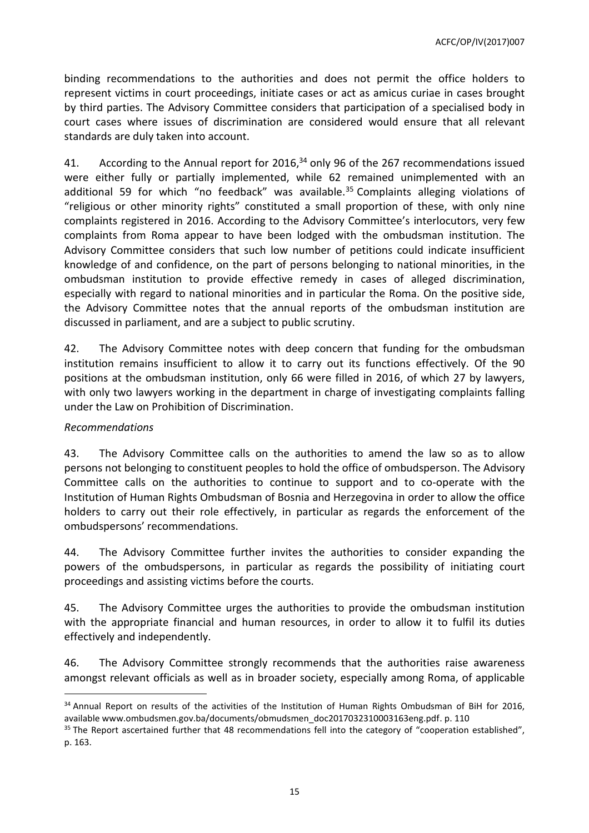ACFC/OP/IV(2017)007

binding recommendations to the authorities and does not permit the office holders to represent victims in court proceedings, initiate cases or act as amicus curiae in cases brought by third parties. The Advisory Committee considers that participation of a specialised body in court cases where issues of discrimination are considered would ensure that all relevant standards are duly taken into account.

41. According to the Annual report for 2016, $34$  only 96 of the 267 recommendations issued were either fully or partially implemented, while 62 remained unimplemented with an additional 59 for which "no feedback" was available.<sup>35</sup> Complaints alleging violations of "religious or other minority rights" constituted a small proportion of these, with only nine complaints registered in 2016. According to the Advisory Committee's interlocutors, very few complaints from Roma appear to have been lodged with the ombudsman institution. The Advisory Committee considers that such low number of petitions could indicate insufficient knowledge of and confidence, on the part of persons belonging to national minorities, in the ombudsman institution to provide effective remedy in cases of alleged discrimination, especially with regard to national minorities and in particular the Roma. On the positive side, the Advisory Committee notes that the annual reports of the ombudsman institution are discussed in parliament, and are a subject to public scrutiny.

42. The Advisory Committee notes with deep concern that funding for the ombudsman institution remains insufficient to allow it to carry out its functions effectively. Of the 90 positions at the ombudsman institution, only 66 were filled in 2016, of which 27 by lawyers, with only two lawyers working in the department in charge of investigating complaints falling under the Law on Prohibition of Discrimination.

#### *Recommendations*

 $\overline{a}$ 

43. The Advisory Committee calls on the authorities to amend the law so as to allow persons not belonging to constituent peoples to hold the office of ombudsperson. The Advisory Committee calls on the authorities to continue to support and to co-operate with the Institution of Human Rights Ombudsman of Bosnia and Herzegovina in order to allow the office holders to carry out their role effectively, in particular as regards the enforcement of the ombudspersons' recommendations.

44. The Advisory Committee further invites the authorities to consider expanding the powers of the ombudspersons, in particular as regards the possibility of initiating court proceedings and assisting victims before the courts.

45. The Advisory Committee urges the authorities to provide the ombudsman institution with the appropriate financial and human resources, in order to allow it to fulfil its duties effectively and independently.

46. The Advisory Committee strongly recommends that the authorities raise awareness amongst relevant officials as well as in broader society, especially among Roma, of applicable

<sup>&</sup>lt;sup>34</sup> Annual Report on results of the activities of the Institution of Human Rights Ombudsman of BiH for 2016, available [www.ombudsmen.gov.ba/documents/obmudsmen\\_doc2017032310003163eng.pdf.](http://www.ombudsmen.gov.ba/documents/obmudsmen_doc2017032310003163eng.pdf) p. 110

<sup>&</sup>lt;sup>35</sup> The Report ascertained further that 48 recommendations fell into the category of "cooperation established", p. 163.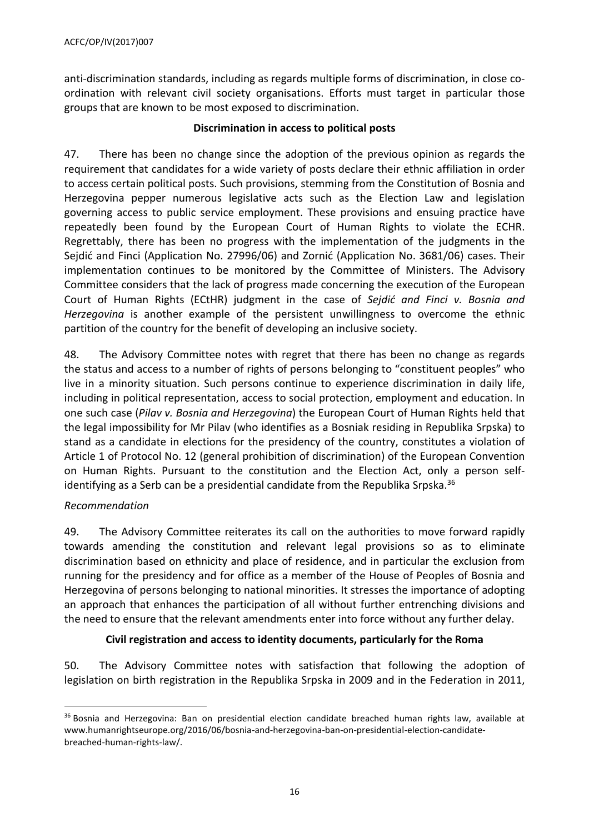anti-discrimination standards, including as regards multiple forms of discrimination, in close coordination with relevant civil society organisations. Efforts must target in particular those groups that are known to be most exposed to discrimination.

## **Discrimination in access to political posts**

47. There has been no change since the adoption of the previous opinion as regards the requirement that candidates for a wide variety of posts declare their ethnic affiliation in order to access certain political posts. Such provisions, stemming from the Constitution of Bosnia and Herzegovina pepper numerous legislative acts such as the Election Law and legislation governing access to public service employment. These provisions and ensuing practice have repeatedly been found by the European Court of Human Rights to violate the ECHR. Regrettably, there has been no progress with the implementation of the judgments in the Sejdić and Finci (Application No. 27996/06) and Zornić (Application No. 3681/06) cases. Their implementation continues to be monitored by the Committee of Ministers. The Advisory Committee considers that the lack of progress made concerning the execution of the European Court of Human Rights (ECtHR) judgment in the case of *Sejdić and Finci v. Bosnia and Herzegovina* is another example of the persistent unwillingness to overcome the ethnic partition of the country for the benefit of developing an inclusive society.

48. The Advisory Committee notes with regret that there has been no change as regards the status and access to a number of rights of persons belonging to "constituent peoples" who live in a minority situation. Such persons continue to experience discrimination in daily life, including in political representation, access to social protection, employment and education. In one such case (*Pilav v. Bosnia and Herzegovina*) the European Court of Human Rights held that the legal impossibility for Mr Pilav (who identifies as a Bosniak residing in Republika Srpska) to stand as a candidate in elections for the presidency of the country, constitutes a violation of Article 1 of Protocol No. 12 (general prohibition of discrimination) of the European Convention on Human Rights. Pursuant to the constitution and the Election Act, only a person selfidentifying as a Serb can be a presidential candidate from the Republika Srpska. 36

# *Recommendation*

 $\overline{a}$ 

49. The Advisory Committee reiterates its call on the authorities to move forward rapidly towards amending the constitution and relevant legal provisions so as to eliminate discrimination based on ethnicity and place of residence, and in particular the exclusion from running for the presidency and for office as a member of the House of Peoples of Bosnia and Herzegovina of persons belonging to national minorities. It stresses the importance of adopting an approach that enhances the participation of all without further entrenching divisions and the need to ensure that the relevant amendments enter into force without any further delay.

# **Civil registration and access to identity documents, particularly for the Roma**

50. The Advisory Committee notes with satisfaction that following the adoption of legislation on birth registration in the Republika Srpska in 2009 and in the Federation in 2011,

<sup>&</sup>lt;sup>36</sup> Bosnia and Herzegovina: Ban on presidential election candidate breached human rights law, available at [www.humanrightseurope.org/2016/06/bosnia-and-herzegovina-ban-on-presidential-election-candidate](http://www.humanrightseurope.org/2016/06/bosnia-and-herzegovina-ban-on-presidential-election-candidate-breached-human-rights-law/)[breached-human-rights-law/.](http://www.humanrightseurope.org/2016/06/bosnia-and-herzegovina-ban-on-presidential-election-candidate-breached-human-rights-law/)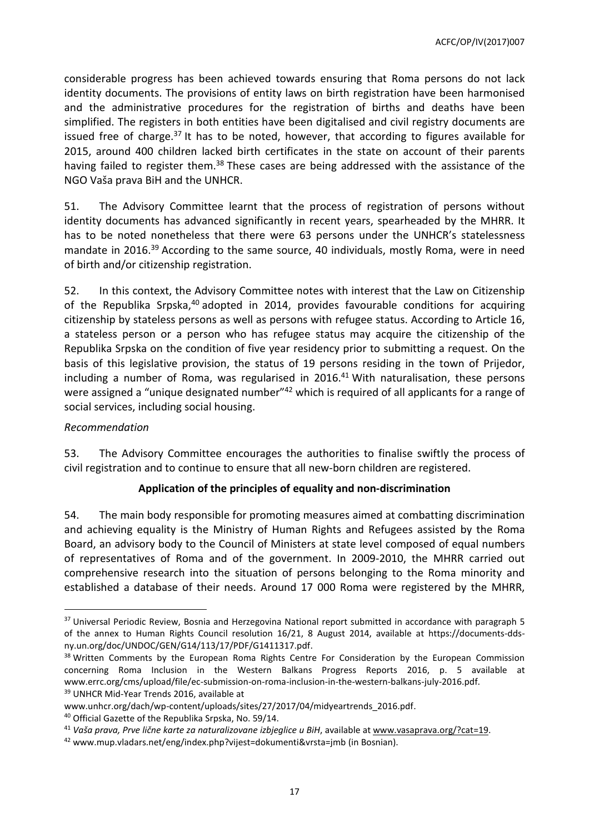considerable progress has been achieved towards ensuring that Roma persons do not lack identity documents. The provisions of entity laws on birth registration have been harmonised and the administrative procedures for the registration of births and deaths have been simplified. The registers in both entities have been digitalised and civil registry documents are issued free of charge.<sup>37</sup> It has to be noted, however, that according to figures available for 2015, around 400 children lacked birth certificates in the state on account of their parents having failed to register them.<sup>38</sup> These cases are being addressed with the assistance of the NGO Vaša prava BiH and the UNHCR.

51. The Advisory Committee learnt that the process of registration of persons without identity documents has advanced significantly in recent years, spearheaded by the MHRR. It has to be noted nonetheless that there were 63 persons under the UNHCR's statelessness mandate in 2016.<sup>39</sup> According to the same source, 40 individuals, mostly Roma, were in need of birth and/or citizenship registration.

52. In this context, the Advisory Committee notes with interest that the Law on Citizenship of the Republika Srpska,<sup>40</sup> adopted in 2014, provides favourable conditions for acquiring citizenship by stateless persons as well as persons with refugee status. According to Article 16, a stateless person or a person who has refugee status may acquire the citizenship of the Republika Srpska on the condition of five year residency prior to submitting a request. On the basis of this legislative provision, the status of 19 persons residing in the town of Prijedor, including a number of Roma, was regularised in 2016.<sup>41</sup> With naturalisation, these persons were assigned a "unique designated number"<sup>42</sup> which is required of all applicants for a range of social services, including social housing.

#### *Recommendation*

 $\overline{a}$ 

53. The Advisory Committee encourages the authorities to finalise swiftly the process of civil registration and to continue to ensure that all new-born children are registered.

# **Application of the principles of equality and non-discrimination**

54. The main body responsible for promoting measures aimed at combatting discrimination and achieving equality is the Ministry of Human Rights and Refugees assisted by the Roma Board, an advisory body to the Council of Ministers at state level composed of equal numbers of representatives of Roma and of the government. In 2009-2010, the MHRR carried out comprehensive research into the situation of persons belonging to the Roma minority and established a database of their needs. Around 17 000 Roma were registered by the MHRR,

<sup>&</sup>lt;sup>37</sup> Universal Periodic Review, Bosnia and Herzegovina National report submitted in accordance with paragraph 5 of the annex to Human Rights Council resolution 16/21, 8 August 2014, available at [https://documents-dds](https://documents-dds-ny.un.org/doc/UNDOC/GEN/G14/113/17/PDF/G1411317.pdf)[ny.un.org/doc/UNDOC/GEN/G14/113/17/PDF/G1411317.pdf.](https://documents-dds-ny.un.org/doc/UNDOC/GEN/G14/113/17/PDF/G1411317.pdf)

<sup>&</sup>lt;sup>38</sup> Written Comments by the European Roma Rights Centre For Consideration by the European Commission concerning Roma Inclusion in the Western Balkans Progress Reports 2016, p. 5 available at [www.errc.org/cms/upload/file/ec-submission-on-roma-inclusion-in-the-western-balkans-july-2016.pdf.](http://www.errc.org/cms/upload/file/ec-submission-on-roma-inclusion-in-the-western-balkans-july-2016.pdf) <sup>39</sup> UNHCR Mid-Year Trends 2016, available at

[www.unhcr.org/dach/wp-content/uploads/sites/27/2017/04/midyeartrends\\_2016.pdf.](http://www.unhcr.org/dach/wp-content/uploads/sites/27/2017/04/midyeartrends_2016.pdf)

<sup>&</sup>lt;sup>40</sup> Official Gazette of the Republika Srpska, No. 59/14.

<sup>41</sup> *Vaša prava, Prve lične karte za naturalizovane izbjeglice u BiH*, available at [www.vasaprava.org/?cat=19.](http://www.vasaprava.org/?cat=19)

<sup>42</sup> [www.mup.vladars.net/eng/index.php?vijest=dokumenti&vrsta=jmb](http://www.mup.vladars.net/eng/index.php?vijest=dokumenti&vrsta=jmb) (in Bosnian).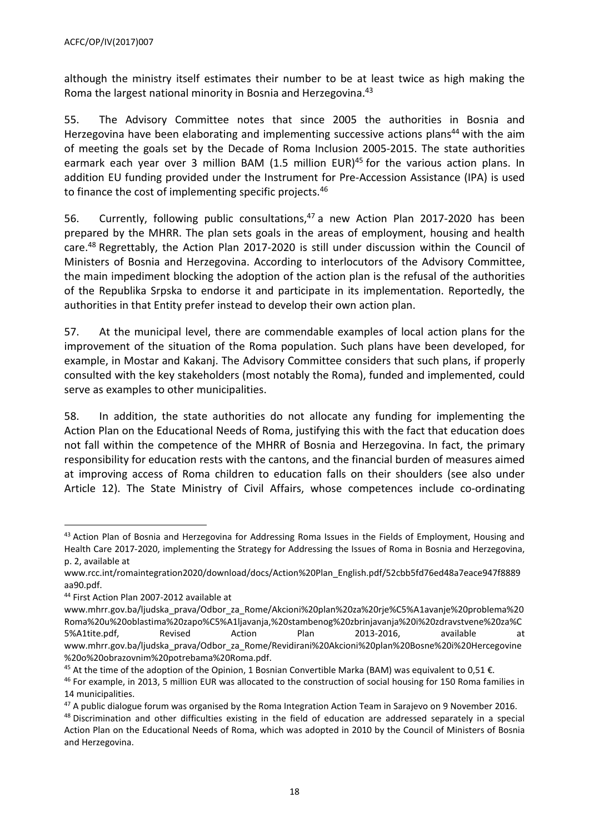although the ministry itself estimates their number to be at least twice as high making the Roma the largest national minority in Bosnia and Herzegovina. 43

55. The Advisory Committee notes that since 2005 the authorities in Bosnia and Herzegovina have been elaborating and implementing successive actions plans<sup>44</sup> with the aim of meeting the goals set by the Decade of Roma Inclusion 2005-2015. The state authorities earmark each year over 3 million BAM (1.5 million EUR)<sup>45</sup> for the various action plans. In addition EU funding provided under the Instrument for Pre-Accession Assistance (IPA) is used to finance the cost of implementing specific projects.<sup>46</sup>

56. Currently, following public consultations, $47$  a new Action Plan 2017-2020 has been prepared by the MHRR. The plan sets goals in the areas of employment, housing and health care.<sup>48</sup> Regrettably, the Action Plan 2017-2020 is still under discussion within the Council of Ministers of Bosnia and Herzegovina. According to interlocutors of the Advisory Committee, the main impediment blocking the adoption of the action plan is the refusal of the authorities of the Republika Srpska to endorse it and participate in its implementation. Reportedly, the authorities in that Entity prefer instead to develop their own action plan.

57. At the municipal level, there are commendable examples of local action plans for the improvement of the situation of the Roma population. Such plans have been developed, for example, in Mostar and Kakanj. The Advisory Committee considers that such plans, if properly consulted with the key stakeholders (most notably the Roma), funded and implemented, could serve as examples to other municipalities.

58. In addition, the state authorities do not allocate any funding for implementing the Action Plan on the Educational Needs of Roma, justifying this with the fact that education does not fall within the competence of the MHRR of Bosnia and Herzegovina. In fact, the primary responsibility for education rests with the cantons, and the financial burden of measures aimed at improving access of Roma children to education falls on their shoulders (see also under Article 12). The State Ministry of Civil Affairs, whose competences include co-ordinating

<sup>&</sup>lt;sup>43</sup> Action Plan of Bosnia and Herzegovina for Addressing Roma Issues in the Fields of Employment, Housing and Health Care 2017-2020, implementing the Strategy for Addressing the Issues of Roma in Bosnia and Herzegovina, p. 2, available at

[www.rcc.int/romaintegration2020/download/docs/Action%20Plan\\_English.pdf/52cbb5fd76ed48a7eace947f8889](http://www.rcc.int/romaintegration2020/download/docs/Action%20Plan_English.pdf/52cbb5fd76ed48a7eace947f8889aa90.pdf) [aa90.pdf.](http://www.rcc.int/romaintegration2020/download/docs/Action%20Plan_English.pdf/52cbb5fd76ed48a7eace947f8889aa90.pdf)

<sup>&</sup>lt;sup>44</sup> First Action Plan 2007-2012 available at

[www.mhrr.gov.ba/ljudska\\_prava/Odbor\\_za\\_Rome/Akcioni%20plan%20za%20rje%C5%A1avanje%20problema%20](http://www.mhrr.gov.ba/ljudska_prava/Odbor_za_Rome/Akcioni%20plan%20za%20rje%C5%A1avanje%20problema%20Roma%20u%20oblastima%20zapo%C5%A1ljavanja,%20stambenog%20zbrinjavanja%20i%20zdravstvene%20za%C5%A1tite.pdf) [Roma%20u%20oblastima%20zapo%C5%A1ljavanja,%20stambenog%20zbrinjavanja%20i%20zdravstvene%20za%C](http://www.mhrr.gov.ba/ljudska_prava/Odbor_za_Rome/Akcioni%20plan%20za%20rje%C5%A1avanje%20problema%20Roma%20u%20oblastima%20zapo%C5%A1ljavanja,%20stambenog%20zbrinjavanja%20i%20zdravstvene%20za%C5%A1tite.pdf) [5%A1tite.pdf,](http://www.mhrr.gov.ba/ljudska_prava/Odbor_za_Rome/Akcioni%20plan%20za%20rje%C5%A1avanje%20problema%20Roma%20u%20oblastima%20zapo%C5%A1ljavanja,%20stambenog%20zbrinjavanja%20i%20zdravstvene%20za%C5%A1tite.pdf) Revised Action Plan 2013-2016, available at [www.mhrr.gov.ba/ljudska\\_prava/Odbor\\_za\\_Rome/Revidirani%20Akcioni%20plan%20Bosne%20i%20Hercegovine](http://www.mhrr.gov.ba/ljudska_prava/Odbor_za_Rome/Revidirani%20Akcioni%20plan%20Bosne%20i%20Hercegovine%20o%20obrazovnim%20potrebama%20Roma.pdf) [%20o%20obrazovnim%20potrebama%20Roma.pdf.](http://www.mhrr.gov.ba/ljudska_prava/Odbor_za_Rome/Revidirani%20Akcioni%20plan%20Bosne%20i%20Hercegovine%20o%20obrazovnim%20potrebama%20Roma.pdf)

<sup>&</sup>lt;sup>45</sup> At the time of the adoption of the Opinion, 1 Bosnian [Convertible](http://www.xe.com/currency/bam-bosnian-convertible-marka) Marka (BAM) was equivalent to 0,51 €.

<sup>&</sup>lt;sup>46</sup> For example, in 2013, 5 million EUR was allocated to the construction of social housing for 150 Roma families in 14 municipalities.

<sup>&</sup>lt;sup>47</sup> A public dialogue forum was organised by the Roma Integration Action Team in Sarajevo on 9 November 2016.

<sup>&</sup>lt;sup>48</sup> Discrimination and other difficulties existing in the field of education are addressed separately in a special Action Plan on the Educational Needs of Roma, which was adopted in 2010 by the Council of Ministers of Bosnia and Herzegovina.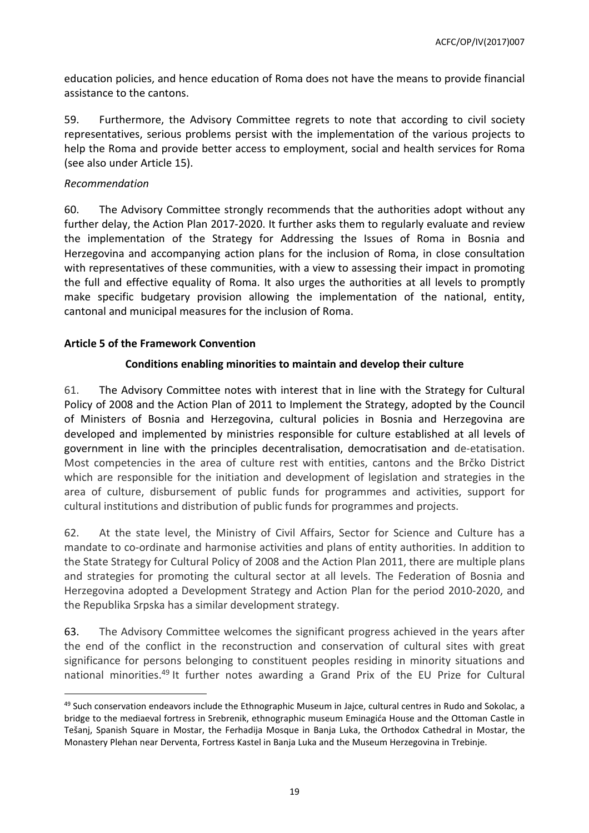education policies, and hence education of Roma does not have the means to provide financial assistance to the cantons.

59. Furthermore, the Advisory Committee regrets to note that according to civil society representatives, serious problems persist with the implementation of the various projects to help the Roma and provide better access to employment, social and health services for Roma (see also under Article 15).

## *Recommendation*

 $\overline{a}$ 

60. The Advisory Committee strongly recommends that the authorities adopt without any further delay, the Action Plan 2017-2020. It further asks them to regularly evaluate and review the implementation of the Strategy for Addressing the Issues of Roma in Bosnia and Herzegovina and accompanying action plans for the inclusion of Roma, in close consultation with representatives of these communities, with a view to assessing their impact in promoting the full and effective equality of Roma. It also urges the authorities at all levels to promptly make specific budgetary provision allowing the implementation of the national, entity, cantonal and municipal measures for the inclusion of Roma.

# <span id="page-18-0"></span>**Article 5 of the Framework Convention**

# **Conditions enabling minorities to maintain and develop their culture**

61. The Advisory Committee notes with interest that in line with the Strategy for Cultural Policy of 2008 and the Action Plan of 2011 to Implement the Strategy, adopted by the Council of Ministers of Bosnia and Herzegovina, cultural policies in Bosnia and Herzegovina are developed and implemented by ministries responsible for culture established at all levels of government in line with the principles decentralisation, democratisation and de-etatisation. Most competencies in the area of culture rest with entities, cantons and the Brčko District which are responsible for the initiation and development of legislation and strategies in the area of culture, disbursement of public funds for programmes and activities, support for cultural institutions and distribution of public funds for programmes and projects.

62. At the state level, the Ministry of Civil Affairs, Sector for Science and Culture has a mandate to co-ordinate and harmonise activities and plans of entity authorities. In addition to the State Strategy for Cultural Policy of 2008 and the Action Plan 2011, there are multiple plans and strategies for promoting the cultural sector at all levels. The Federation of Bosnia and Herzegovina adopted a Development Strategy and Action Plan for the period 2010-2020, and the Republika Srpska has a similar development strategy.

63. The Advisory Committee welcomes the significant progress achieved in the years after the end of the conflict in the reconstruction and conservation of cultural sites with great significance for persons belonging to constituent peoples residing in minority situations and national minorities.<sup>49</sup> It further notes awarding a Grand Prix of the EU Prize for Cultural

 $49$  Such conservation endeavors include the Ethnographic Museum in Jajce, cultural centres in Rudo and Sokolac, a bridge to the mediaeval fortress in Srebrenik, ethnographic museum Eminagića House and the Ottoman Castle in Tešanj, Spanish Square in Mostar, the Ferhadija Mosque in Banja Luka, the Orthodox Cathedral in Mostar, the Monastery Plehan near Derventa, Fortress Kastel in Banja Luka and the Museum Herzegovina in Trebinje.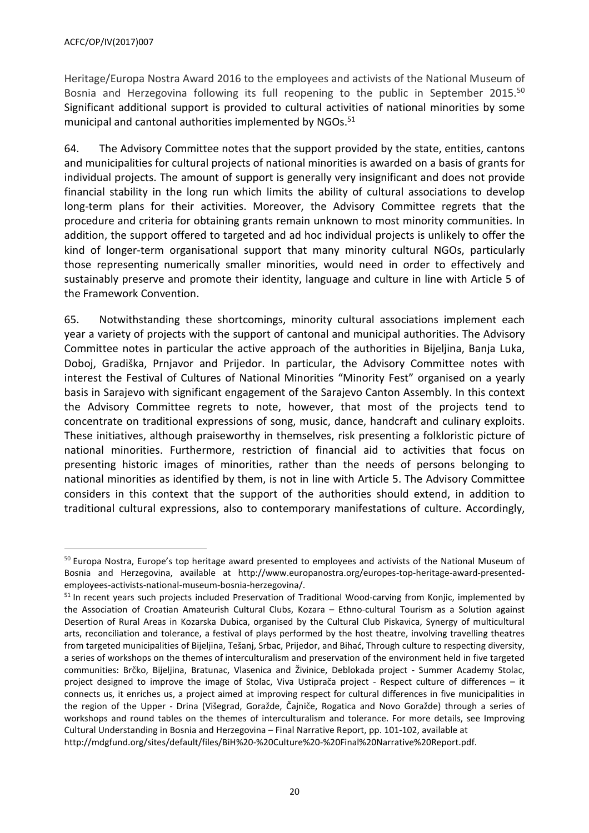Heritage/Europa Nostra Award 2016 to the employees and activists of the National Museum of Bosnia and Herzegovina following its full reopening to the public in September 2015.<sup>50</sup> Significant additional support is provided to cultural activities of national minorities by some municipal and cantonal authorities implemented by NGOs.<sup>51</sup>

64. The Advisory Committee notes that the support provided by the state, entities, cantons and municipalities for cultural projects of national minorities is awarded on a basis of grants for individual projects. The amount of support is generally very insignificant and does not provide financial stability in the long run which limits the ability of cultural associations to develop long-term plans for their activities. Moreover, the Advisory Committee regrets that the procedure and criteria for obtaining grants remain unknown to most minority communities. In addition, the support offered to targeted and ad hoc individual projects is unlikely to offer the kind of longer-term organisational support that many minority cultural NGOs, particularly those representing numerically smaller minorities, would need in order to effectively and sustainably preserve and promote their identity, language and culture in line with Article 5 of the Framework Convention.

65. Notwithstanding these shortcomings, minority cultural associations implement each year a variety of projects with the support of cantonal and municipal authorities. The Advisory Committee notes in particular the active approach of the authorities in Bijeljina, Banja Luka, Doboj, Gradiška, Prnjavor and Prijedor. In particular, the Advisory Committee notes with interest the Festival of Cultures of National Minorities "Minority Fest" organised on a yearly basis in Sarajevo with significant engagement of the Sarajevo Canton Assembly. In this context the Advisory Committee regrets to note, however, that most of the projects tend to concentrate on traditional expressions of song, music, dance, handcraft and culinary exploits. These initiatives, although praiseworthy in themselves, risk presenting a folkloristic picture of national minorities. Furthermore, restriction of financial aid to activities that focus on presenting historic images of minorities, rather than the needs of persons belonging to national minorities as identified by them, is not in line with Article 5. The Advisory Committee considers in this context that the support of the authorities should extend, in addition to traditional cultural expressions, also to contemporary manifestations of culture. Accordingly,

<sup>&</sup>lt;sup>50</sup> Europa Nostra, Europe's top heritage award presented to employees and activists of the National Museum of Bosnia and Herzegovina, available at http://www.europanostra.org/europes-top-heritage-award-presentedemployees-activists-national-museum-bosnia-herzegovina/.

<sup>&</sup>lt;sup>51</sup> In recent years such projects included Preservation of Traditional Wood-carving from Konjic, implemented by the Association of Croatian Amateurish Cultural Clubs, Kozara – Ethno-cultural Tourism as a Solution against Desertion of Rural Areas in Kozarska Dubica, organised by the Cultural Club Piskavica, Synergy of multicultural arts, reconciliation and tolerance, a festival of plays performed by the host theatre, involving travelling theatres from targeted municipalities of Bijeljina, Tešanj, Srbac, Prijedor, and Bihać, Through culture to respecting diversity, a series of workshops on the themes of interculturalism and preservation of the environment held in five targeted communities: Brčko, Bijeljina, Bratunac, Vlasenica and Živinice, Deblokada project - Summer Academy Stolac, project designed to improve the image of Stolac, Viva Ustiprača project - Respect culture of differences – it connects us, it enriches us, a project aimed at improving respect for cultural differences in five municipalities in the region of the Upper - Drina (Višegrad, Goražde, Čajniče, Rogatica and Novo Goražde) through a series of workshops and round tables on the themes of interculturalism and tolerance. For more details, see Improving Cultural Understanding in Bosnia and Herzegovina – Final Narrative Report, pp. 101-102, available at http://mdgfund.org/sites/default/files/BiH%20-%20Culture%20-%20Final%20Narrative%20Report.pdf.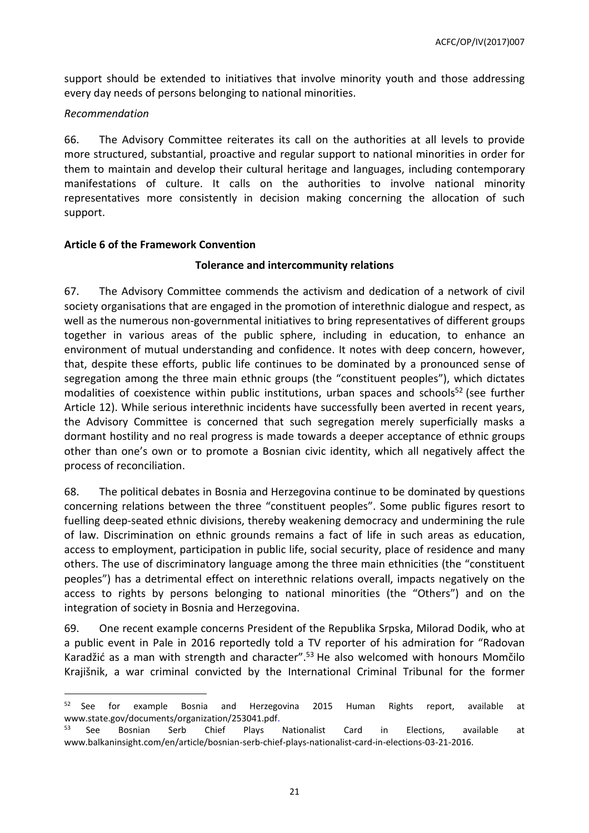support should be extended to initiatives that involve minority youth and those addressing every day needs of persons belonging to national minorities.

## *Recommendation*

 $\overline{a}$ 

66. The Advisory Committee reiterates its call on the authorities at all levels to provide more structured, substantial, proactive and regular support to national minorities in order for them to maintain and develop their cultural heritage and languages, including contemporary manifestations of culture. It calls on the authorities to involve national minority representatives more consistently in decision making concerning the allocation of such support.

## <span id="page-20-0"></span>**Article 6 of the Framework Convention**

## **Tolerance and intercommunity relations**

67. The Advisory Committee commends the activism and dedication of a network of civil society organisations that are engaged in the promotion of interethnic dialogue and respect, as well as the numerous non-governmental initiatives to bring representatives of different groups together in various areas of the public sphere, including in education, to enhance an environment of mutual understanding and confidence. It notes with deep concern, however, that, despite these efforts, public life continues to be dominated by a pronounced sense of segregation among the three main ethnic groups (the "constituent peoples"), which dictates modalities of coexistence within public institutions, urban spaces and schools<sup>52</sup> (see further Article 12). While serious interethnic incidents have successfully been averted in recent years, the Advisory Committee is concerned that such segregation merely superficially masks a dormant hostility and no real progress is made towards a deeper acceptance of ethnic groups other than one's own or to promote a Bosnian civic identity, which all negatively affect the process of reconciliation.

68. The political debates in Bosnia and Herzegovina continue to be dominated by questions concerning relations between the three "constituent peoples". Some public figures resort to fuelling deep-seated ethnic divisions, thereby weakening democracy and undermining the rule of law. Discrimination on ethnic grounds remains a fact of life in such areas as education, access to employment, participation in public life, social security, place of residence and many others. The use of discriminatory language among the three main ethnicities (the "constituent peoples") has a detrimental effect on interethnic relations overall, impacts negatively on the access to rights by persons belonging to national minorities (the "Others") and on the integration of society in Bosnia and Herzegovina.

69. One recent example concerns President of the Republika Srpska, Milorad Dodik, who at a public event in Pale in 2016 reportedly told a TV reporter of his admiration for "Radovan Karadžić as a man with strength and character".<sup>53</sup> He also welcomed with honours Momčilo Krajišnik, a war criminal convicted by the International Criminal Tribunal for the former

<sup>&</sup>lt;sup>52</sup> See for example Bosnia and Herzegovina 2015 Human Rights report, available at [www.state.gov/documents/organization/253041.pdf.](http://www.state.gov/documents/organization/253041.pdf)<br><sup>53</sup> See Bosnian Serb Chief Plays

<sup>&</sup>lt;sup>53</sup> See Bosnian Serb Chief Plays Nationalist Card in Elections, available at www.balkaninsight.com/en/article/bosnian-serb-chief-plays-nationalist-card-in-elections-03-21-2016.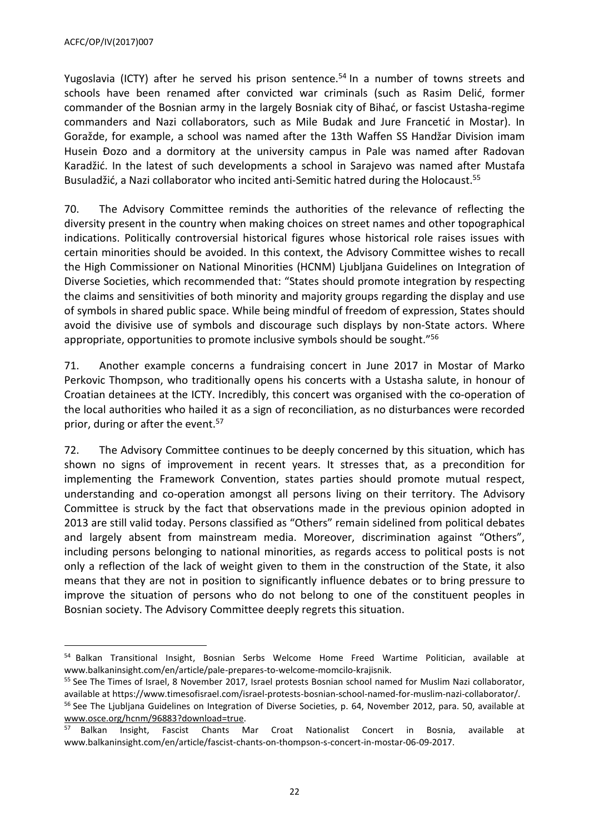Yugoslavia (ICTY) after he served his prison sentence.<sup>54</sup> In a number of towns streets and schools have been renamed after convicted war criminals (such as Rasim Delić, former commander of the Bosnian army in the largely Bosniak city of Bihać, or fascist Ustasha-regime commanders and Nazi collaborators, such as Mile Budak and Jure Francetić in Mostar). In Goražde, for example, a school was named after the 13th Waffen SS Handžar Division imam Husein Đozo and a dormitory at the university campus in Pale was named after Radovan Karadžić. In the latest of such developments a school in Sarajevo was named after Mustafa Busuladžić, a Nazi collaborator who incited anti-Semitic hatred during the Holocaust.<sup>55</sup>

70. The Advisory Committee reminds the authorities of the relevance of reflecting the diversity present in the country when making choices on street names and other topographical indications. Politically controversial historical figures whose historical role raises issues with certain minorities should be avoided. In this context, the Advisory Committee wishes to recall the High Commissioner on National Minorities (HCNM) Ljubljana Guidelines on Integration of Diverse Societies, which recommended that: "States should promote integration by respecting the claims and sensitivities of both minority and majority groups regarding the display and use of symbols in shared public space. While being mindful of freedom of expression, States should avoid the divisive use of symbols and discourage such displays by non-State actors. Where appropriate, opportunities to promote inclusive symbols should be sought." 56

71. Another example concerns a fundraising concert in June 2017 in Mostar of Marko Perkovic Thompson, who traditionally opens his concerts with a Ustasha salute, in honour of Croatian detainees at the ICTY. Incredibly, this concert was organised with the co-operation of the local authorities who hailed it as a sign of reconciliation, as no disturbances were recorded prior, during or after the event.<sup>57</sup>

72. The Advisory Committee continues to be deeply concerned by this situation, which has shown no signs of improvement in recent years. It stresses that, as a precondition for implementing the Framework Convention, states parties should promote mutual respect, understanding and co-operation amongst all persons living on their territory. The Advisory Committee is struck by the fact that observations made in the previous opinion adopted in 2013 are still valid today. Persons classified as "Others" remain sidelined from political debates and largely absent from mainstream media. Moreover, discrimination against "Others", including persons belonging to national minorities, as regards access to political posts is not only a reflection of the lack of weight given to them in the construction of the State, it also means that they are not in position to significantly influence debates or to bring pressure to improve the situation of persons who do not belong to one of the constituent peoples in Bosnian society. The Advisory Committee deeply regrets this situation.

<sup>54</sup> Balkan Transitional Insight, Bosnian Serbs Welcome Home Freed Wartime Politician, available at www.balkaninsight.com/en/article/pale-prepares-to-welcome-momcilo-krajisnik.

<sup>&</sup>lt;sup>55</sup> See The Times of Israel, 8 November 2017, Israel protests Bosnian school named for Muslim Nazi collaborator, available at https://www.timesofisrael.com/israel-protests-bosnian-school-named-for-muslim-nazi-collaborator/.

<sup>&</sup>lt;sup>56</sup> See The Ljubljana Guidelines on Integration of Diverse Societies, p. 64, November 2012, para. 50, available at [www.osce.org/hcnm/96883?download=true.](http://www.osce.org/hcnm/96883?download=true)

<sup>57</sup> Balkan Insight, Fascist Chants Mar Croat Nationalist Concert in Bosnia, available at www.balkaninsight.com/en/article/fascist-chants-on-thompson-s-concert-in-mostar-06-09-2017.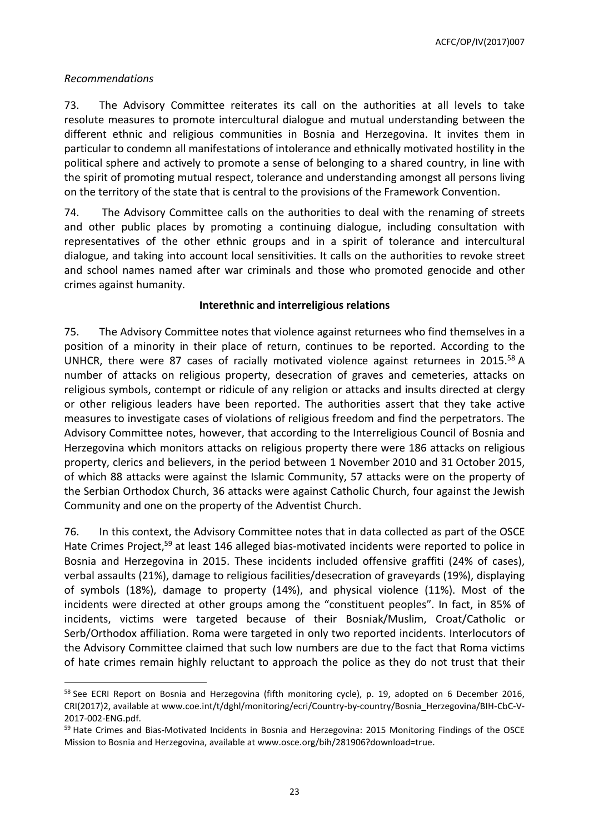ACFC/OP/IV(2017)007

#### *Recommendations*

 $\overline{a}$ 

73. The Advisory Committee reiterates its call on the authorities at all levels to take resolute measures to promote intercultural dialogue and mutual understanding between the different ethnic and religious communities in Bosnia and Herzegovina. It invites them in particular to condemn all manifestations of intolerance and ethnically motivated hostility in the political sphere and actively to promote a sense of belonging to a shared country, in line with the spirit of promoting mutual respect, tolerance and understanding amongst all persons living on the territory of the state that is central to the provisions of the Framework Convention.

74. The Advisory Committee calls on the authorities to deal with the renaming of streets and other public places by promoting a continuing dialogue, including consultation with representatives of the other ethnic groups and in a spirit of tolerance and intercultural dialogue, and taking into account local sensitivities. It calls on the authorities to revoke street and school names named after war criminals and those who promoted genocide and other crimes against humanity.

## **Interethnic and interreligious relations**

75. The Advisory Committee notes that violence against returnees who find themselves in a position of a minority in their place of return, continues to be reported. According to the UNHCR, there were 87 cases of racially motivated violence against returnees in 2015.<sup>58</sup> A number of attacks on religious property, desecration of graves and cemeteries, attacks on religious symbols, contempt or ridicule of any religion or attacks and insults directed at clergy or other religious leaders have been reported. The authorities assert that they take active measures to investigate cases of violations of religious freedom and find the perpetrators. The Advisory Committee notes, however, that according to the Interreligious Council of Bosnia and Herzegovina which monitors attacks on religious property there were 186 attacks on religious property, clerics and believers, in the period between 1 November 2010 and 31 October 2015, of which 88 attacks were against the Islamic Community, 57 attacks were on the property of the Serbian Orthodox Church, 36 attacks were against Catholic Church, four against the Jewish Community and one on the property of the Adventist Church.

76. In this context, the Advisory Committee notes that in data collected as part of the OSCE Hate Crimes Project,<sup>59</sup> at least 146 alleged bias-motivated incidents were reported to police in Bosnia and Herzegovina in 2015. These incidents included offensive graffiti (24% of cases), verbal assaults (21%), damage to religious facilities/desecration of graveyards (19%), displaying of symbols (18%), damage to property (14%), and physical violence (11%). Most of the incidents were directed at other groups among the "constituent peoples". In fact, in 85% of incidents, victims were targeted because of their Bosniak/Muslim, Croat/Catholic or Serb/Orthodox affiliation. Roma were targeted in only two reported incidents. Interlocutors of the Advisory Committee claimed that such low numbers are due to the fact that Roma victims of hate crimes remain highly reluctant to approach the police as they do not trust that their

 $58$  See ECRI Report on Bosnia and Herzegovina (fifth monitoring cycle), p. 19, adopted on 6 December 2016, CRI(2017)2, available at www.coe.int/t/dghl/monitoring/ecri/Country-by-country/Bosnia\_Herzegovina/BIH-CbC-V-2017-002-ENG.pdf.

<sup>&</sup>lt;sup>59</sup> Hate Crimes and Bias-Motivated Incidents in Bosnia and Herzegovina: 2015 Monitoring Findings of the OSCE Mission to Bosnia and Herzegovina, available at [www.osce.org/bih/281906?download=true.](http://www.osce.org/bih/281906?download=true)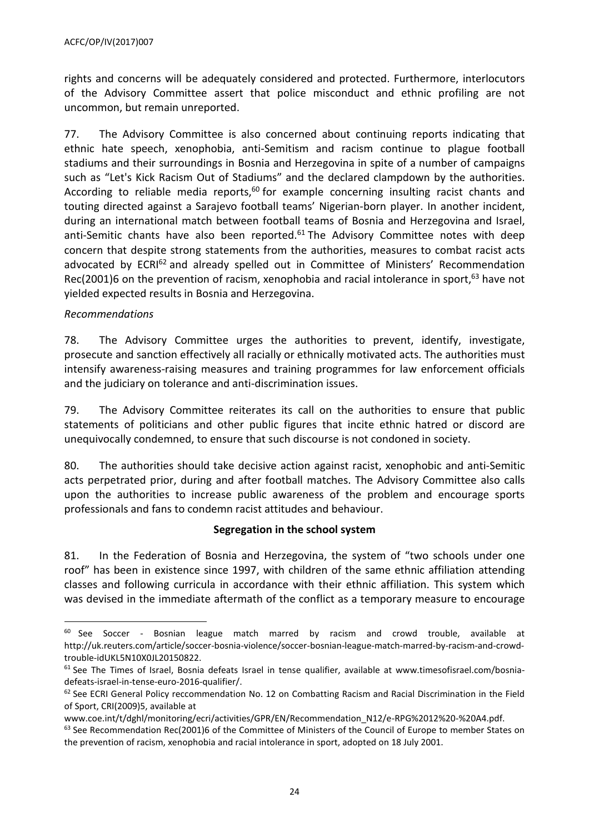rights and concerns will be adequately considered and protected. Furthermore, interlocutors of the Advisory Committee assert that police misconduct and ethnic profiling are not uncommon, but remain unreported.

77. The Advisory Committee is also concerned about continuing reports indicating that ethnic hate speech, xenophobia, anti-Semitism and racism continue to plague football stadiums and their surroundings in Bosnia and Herzegovina in spite of a number of campaigns such as "Let's Kick Racism Out of Stadiums" and the declared clampdown by the authorities. According to reliable media reports,<sup>60</sup> for example concerning insulting racist chants and touting directed against a Sarajevo football teams' Nigerian-born player. In another incident, during an international match between football teams of Bosnia and Herzegovina and Israel, anti-Semitic chants have also been reported. $61$  The Advisory Committee notes with deep concern that despite strong statements from the authorities, measures to combat racist acts advocated by ECRI<sup>62</sup> and already spelled out in Committee of Ministers' Recommendation Rec(2001)6 on the prevention of racism, xenophobia and racial intolerance in sport,  $63$  have not yielded expected results in Bosnia and Herzegovina.

## *Recommendations*

 $\overline{a}$ 

78. The Advisory Committee urges the authorities to prevent, identify, investigate, prosecute and sanction effectively all racially or ethnically motivated acts. The authorities must intensify awareness-raising measures and training programmes for law enforcement officials and the judiciary on tolerance and anti-discrimination issues.

79. The Advisory Committee reiterates its call on the authorities to ensure that public statements of politicians and other public figures that incite ethnic hatred or discord are unequivocally condemned, to ensure that such discourse is not condoned in society.

80. The authorities should take decisive action against racist, xenophobic and anti-Semitic acts perpetrated prior, during and after football matches. The Advisory Committee also calls upon the authorities to increase public awareness of the problem and encourage sports professionals and fans to condemn racist attitudes and behaviour.

#### **Segregation in the school system**

81. In the Federation of Bosnia and Herzegovina, the system of "two schools under one roof" has been in existence since 1997, with children of the same ethnic affiliation attending classes and following curricula in accordance with their ethnic affiliation. This system which was devised in the immediate aftermath of the conflict as a temporary measure to encourage

 $60$  See Soccer - Bosnian league match marred by racism and crowd trouble, available at [http://uk.reuters.com/article/soccer-bosnia-violence/soccer-bosnian-league-match-marred-by-racism-and-crowd](http://uk.reuters.com/article/soccer-bosnia-violence/soccer-bosnian-league-match-marred-by-racism-and-crowd-trouble-idUKL5N10X0JL20150822)[trouble-idUKL5N10X0JL20150822.](http://uk.reuters.com/article/soccer-bosnia-violence/soccer-bosnian-league-match-marred-by-racism-and-crowd-trouble-idUKL5N10X0JL20150822)

 $61$  See The Times of Israel, Bosnia defeats Israel in tense qualifier, available at [www.timesofisrael.com/bosnia](http://www.timesofisrael.com/bosnia-defeats-israel-in-tense-euro-2016-qualifier/)[defeats-israel-in-tense-euro-2016-qualifier/.](http://www.timesofisrael.com/bosnia-defeats-israel-in-tense-euro-2016-qualifier/)

 $62$  See ECRI General Policy reccommendation No. 12 on Combatting Racism and Racial Discrimination in the Field of Sport, CRI(2009)5, available at

[www.coe.int/t/dghl/monitoring/ecri/activities/GPR/EN/Recommendation\\_N12/e-RPG%2012%20-%20A4.pdf.](http://www.coe.int/t/dghl/monitoring/ecri/activities/GPR/EN/Recommendation_N12/e-RPG%2012%20-%20A4.pdf)

 $63$  See Recommendation Rec(2001)6 of the Committee of Ministers of the Council of Europe to member States on the prevention of racism, xenophobia and racial intolerance in sport, adopted on 18 July 2001.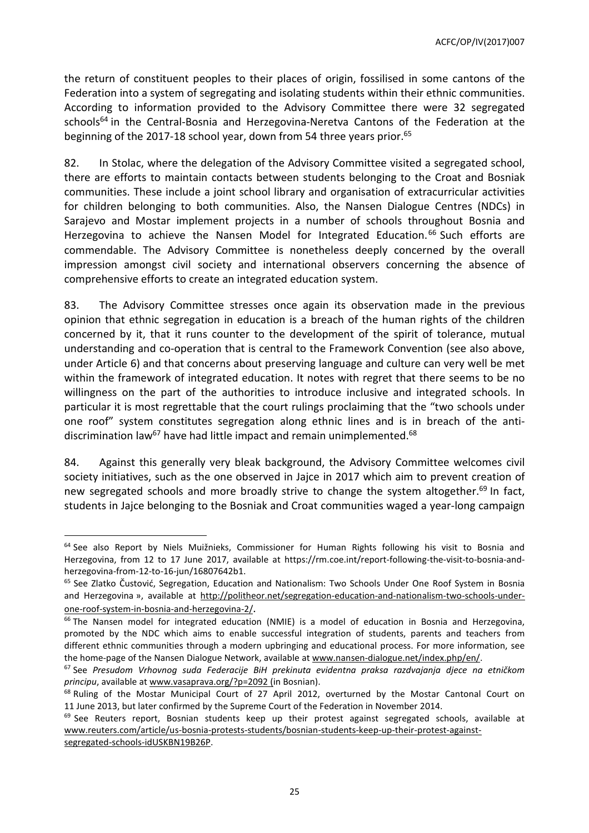the return of constituent peoples to their places of origin, fossilised in some cantons of the Federation into a system of segregating and isolating students within their ethnic communities. According to information provided to the Advisory Committee there were 32 segregated schools<sup>64</sup> in the Central-Bosnia and Herzegovina-Neretva Cantons of the Federation at the beginning of the 2017-18 school year, down from 54 three years prior.<sup>65</sup>

82. In Stolac, where the delegation of the Advisory Committee visited a segregated school, there are efforts to maintain contacts between students belonging to the Croat and Bosniak communities. These include a joint school library and organisation of extracurricular activities for children belonging to both communities. Also, the Nansen Dialogue Centres (NDCs) in Sarajevo and Mostar implement projects in a number of schools throughout Bosnia and Herzegovina to achieve the Nansen Model for Integrated Education.<sup>66</sup> Such efforts are commendable. The Advisory Committee is nonetheless deeply concerned by the overall impression amongst civil society and international observers concerning the absence of comprehensive efforts to create an integrated education system.

83. The Advisory Committee stresses once again its observation made in the previous opinion that ethnic segregation in education is a breach of the human rights of the children concerned by it, that it runs counter to the development of the spirit of tolerance, mutual understanding and co-operation that is central to the Framework Convention (see also above, under Article 6) and that concerns about preserving language and culture can very well be met within the framework of integrated education. It notes with regret that there seems to be no willingness on the part of the authorities to introduce inclusive and integrated schools. In particular it is most regrettable that the court rulings proclaiming that the "two schools under one roof" system constitutes segregation along ethnic lines and is in breach of the antidiscrimination law<sup>67</sup> have had little impact and remain unimplemented.<sup>68</sup>

84. Against this generally very bleak background, the Advisory Committee welcomes civil society initiatives, such as the one observed in Jajce in 2017 which aim to prevent creation of new segregated schools and more broadly strive to change the system altogether.<sup>69</sup> In fact, students in Jajce belonging to the Bosniak and Croat communities waged a year-long campaign

<sup>&</sup>lt;sup>64</sup> See also Report by Niels Muižnieks, Commissioner for Human Rights following his visit to Bosnia and Herzegovina, from 12 to 17 June 2017, available at https://rm.coe.int/report-following-the-visit-to-bosnia-andherzegovina-from-12-to-16-jun/16807642b1.

<sup>&</sup>lt;sup>65</sup> See Zlatko [Čustović](http://politheor.net/author/zlatko-custovic/), Segregation, Education and [Nationalism:](http://politheor.net/segregation-education-and-nationalism-two-schools-under-one-roof-system-in-bosnia-and-herzegovina-2/) Two Schools Under One Roof Svstem in Bosnia and [Herzegovina](http://politheor.net/segregation-education-and-nationalism-two-schools-under-one-roof-system-in-bosnia-and-herzegovina-2/) », available at [http://politheor.net/segregation-education-and-nationalism-two-schools-under](http://politheor.net/segregation-education-and-nationalism-two-schools-under-one-roof-system-in-bosnia-and-herzegovina-2/)[one-roof-system-in-bosnia-and-herzegovina-2/](http://politheor.net/segregation-education-and-nationalism-two-schools-under-one-roof-system-in-bosnia-and-herzegovina-2/).

<sup>&</sup>lt;sup>66</sup> The Nansen model for integrated education (NMIE) is a model of education in Bosnia and Herzegovina, promoted by the NDC which aims to enable successful integration of students, parents and teachers from different ethnic communities through a modern upbringing and educational process. For more information, see the home-page of the Nansen Dialogue Network, available at [www.nansen-dialogue.net/index.php/en/.](http://www.nansen-dialogue.net/index.php/en/)

<sup>67</sup> See *Presudom Vrhovnog suda Federacije BiH prekinuta evidentna praksa razdvajanja djece na etničkom principu*, available at [www.vasaprava.org/?p=2092](http://www.vasaprava.org/?p=2092) (in Bosnian).

<sup>&</sup>lt;sup>68</sup> Ruling of the Mostar Municipal Court of 27 April 2012, overturned by the Mostar Cantonal Court on 11 June 2013, but later confirmed by the Supreme Court of the Federation in November 2014.

<sup>&</sup>lt;sup>69</sup> See Reuters report, Bosnian students keep up their protest against segregated schools, available at [www.reuters.com/article/us-bosnia-protests-students/bosnian-students-keep-up-their-protest-against](http://www.reuters.com/article/us-bosnia-protests-students/bosnian-students-keep-up-their-protest-against-segregated-schools-idUSKBN19B26P)[segregated-schools-idUSKBN19B26P.](http://www.reuters.com/article/us-bosnia-protests-students/bosnian-students-keep-up-their-protest-against-segregated-schools-idUSKBN19B26P)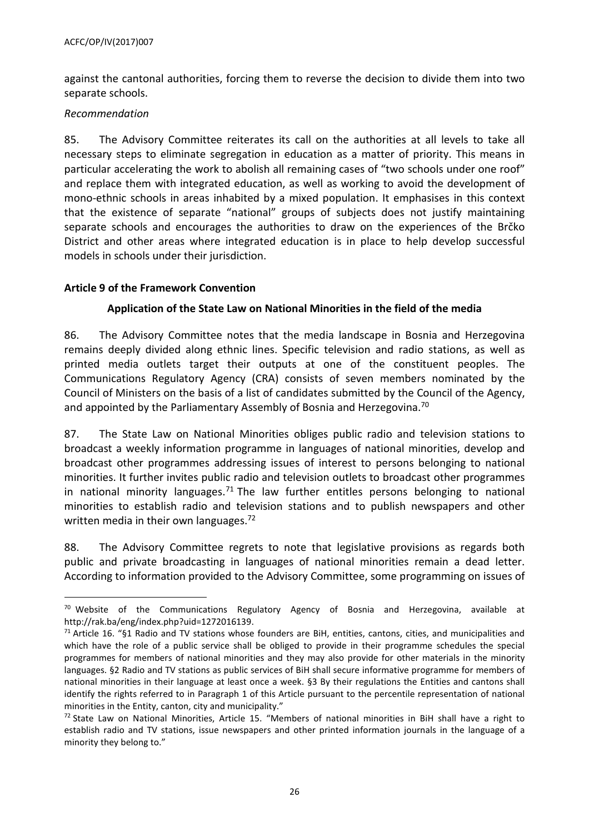against the cantonal authorities, forcing them to reverse the decision to divide them into two separate schools.

#### *Recommendation*

 $\overline{a}$ 

85. The Advisory Committee reiterates its call on the authorities at all levels to take all necessary steps to eliminate segregation in education as a matter of priority. This means in particular accelerating the work to abolish all remaining cases of "two schools under one roof" and replace them with integrated education, as well as working to avoid the development of mono-ethnic schools in areas inhabited by a mixed population. It emphasises in this context that the existence of separate "national" groups of subjects does not justify maintaining separate schools and encourages the authorities to draw on the experiences of the Brčko District and other areas where integrated education is in place to help develop successful models in schools under their jurisdiction.

## <span id="page-25-0"></span>**Article 9 of the Framework Convention**

## **Application of the State Law on National Minorities in the field of the media**

86. The Advisory Committee notes that the media landscape in Bosnia and Herzegovina remains deeply divided along ethnic lines. Specific television and radio stations, as well as printed media outlets target their outputs at one of the constituent peoples. The Communications Regulatory Agency (CRA) consists of seven members nominated by the Council of Ministers on the basis of a list of candidates submitted by the Council of the Agency, and appointed by the Parliamentary Assembly of Bosnia and Herzegovina.<sup>70</sup>

87. The State Law on National Minorities obliges public radio and television stations to broadcast a weekly information programme in languages of national minorities, develop and broadcast other programmes addressing issues of interest to persons belonging to national minorities. It further invites public radio and television outlets to broadcast other programmes in national minority languages.<sup>71</sup> The law further entitles persons belonging to national minorities to establish radio and television stations and to publish newspapers and other written media in their own languages. $72$ 

88. The Advisory Committee regrets to note that legislative provisions as regards both public and private broadcasting in languages of national minorities remain a dead letter. According to information provided to the Advisory Committee, some programming on issues of

 $70$  Website of the Communications Regulatory Agency of Bosnia and Herzegovina, available at [http://rak.ba/eng/index.php?uid=1272016139.](http://rak.ba/eng/index.php?uid=1272016139)

 $71$  Article 16. "§1 Radio and TV stations whose founders are BiH, entities, cantons, cities, and municipalities and which have the role of a public service shall be obliged to provide in their programme schedules the special programmes for members of national minorities and they may also provide for other materials in the minority languages. §2 Radio and TV stations as public services of BiH shall secure informative programme for members of national minorities in their language at least once a week. §3 By their regulations the Entities and cantons shall identify the rights referred to in Paragraph 1 of this Article pursuant to the percentile representation of national minorities in the Entity, canton, city and municipality."

 $72$  State Law on National Minorities, Article 15. "Members of national minorities in BiH shall have a right to establish radio and TV stations, issue newspapers and other printed information journals in the language of a minority they belong to."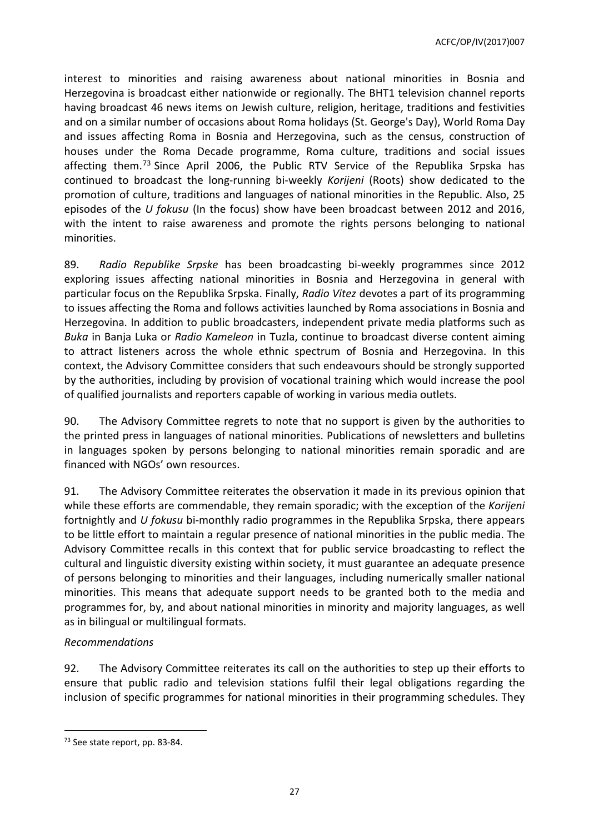ACFC/OP/IV(2017)007

interest to minorities and raising awareness about national minorities in Bosnia and Herzegovina is broadcast either nationwide or regionally. The BHT1 television channel reports having broadcast 46 news items on Jewish culture, religion, heritage, traditions and festivities and on a similar number of occasions about Roma holidays (St. George's Day), World Roma Day and issues affecting Roma in Bosnia and Herzegovina, such as the census, construction of houses under the Roma Decade programme, Roma culture, traditions and social issues affecting them.<sup>73</sup> Since April 2006, the Public RTV Service of the Republika Srpska has continued to broadcast the long-running bi-weekly *Korijeni* (Roots) show dedicated to the promotion of culture, traditions and languages of national minorities in the Republic. Also, 25 episodes of the *U fokusu* (In the focus) show have been broadcast between 2012 and 2016, with the intent to raise awareness and promote the rights persons belonging to national minorities.

89. *Radio Republike Srpske* has been broadcasting bi-weekly programmes since 2012 exploring issues affecting national minorities in Bosnia and Herzegovina in general with particular focus on the Republika Srpska. Finally, *Radio Vitez* devotes a part of its programming to issues affecting the Roma and follows activities launched by Roma associations in Bosnia and Herzegovina. In addition to public broadcasters, independent private media platforms such as *Buka* in Banja Luka or *Radio Kameleon* in Tuzla, continue to broadcast diverse content aiming to attract listeners across the whole ethnic spectrum of Bosnia and Herzegovina. In this context, the Advisory Committee considers that such endeavours should be strongly supported by the authorities, including by provision of vocational training which would increase the pool of qualified journalists and reporters capable of working in various media outlets.

90. The Advisory Committee regrets to note that no support is given by the authorities to the printed press in languages of national minorities. Publications of newsletters and bulletins in languages spoken by persons belonging to national minorities remain sporadic and are financed with NGOs' own resources.

91. The Advisory Committee reiterates the observation it made in its previous opinion that while these efforts are commendable, they remain sporadic; with the exception of the *Korijeni* fortnightly and *U fokusu* bi-monthly radio programmes in the Republika Srpska, there appears to be little effort to maintain a regular presence of national minorities in the public media. The Advisory Committee recalls in this context that for public service broadcasting to reflect the cultural and linguistic diversity existing within society, it must guarantee an adequate presence of persons belonging to minorities and their languages, including numerically smaller national minorities. This means that adequate support needs to be granted both to the media and programmes for, by, and about national minorities in minority and majority languages, as well as in bilingual or multilingual formats.

# *Recommendations*

 $\overline{a}$ 

92. The Advisory Committee reiterates its call on the authorities to step up their efforts to ensure that public radio and television stations fulfil their legal obligations regarding the inclusion of specific programmes for national minorities in their programming schedules. They

<sup>73</sup> See state report, pp. 83-84.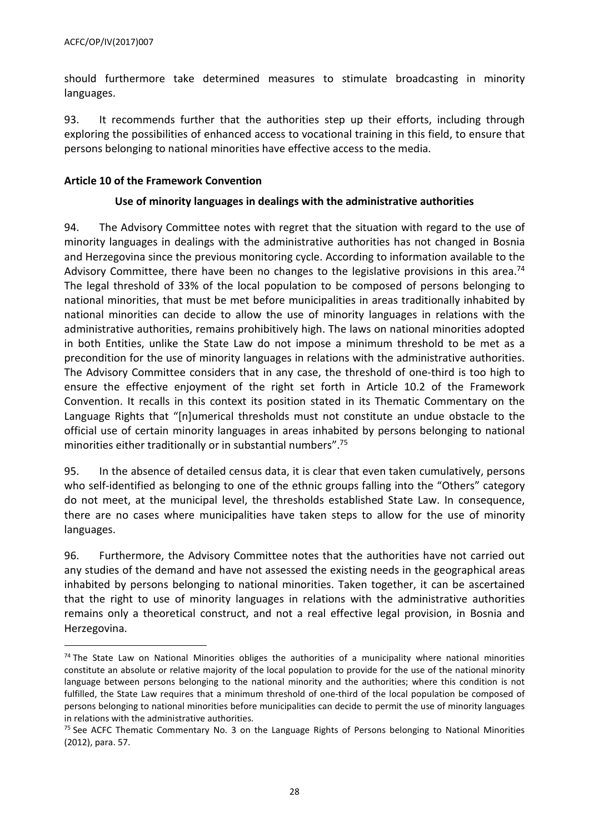should furthermore take determined measures to stimulate broadcasting in minority languages.

93. It recommends further that the authorities step up their efforts, including through exploring the possibilities of enhanced access to vocational training in this field, to ensure that persons belonging to national minorities have effective access to the media.

#### <span id="page-27-0"></span>**Article 10 of the Framework Convention**

## **Use of minority languages in dealings with the administrative authorities**

94. The Advisory Committee notes with regret that the situation with regard to the use of minority languages in dealings with the administrative authorities has not changed in Bosnia and Herzegovina since the previous monitoring cycle. According to information available to the Advisory Committee, there have been no changes to the legislative provisions in this area.<sup>74</sup> The legal threshold of 33% of the local population to be composed of persons belonging to national minorities, that must be met before municipalities in areas traditionally inhabited by national minorities can decide to allow the use of minority languages in relations with the administrative authorities, remains prohibitively high. The laws on national minorities adopted in both Entities, unlike the State Law do not impose a minimum threshold to be met as a precondition for the use of minority languages in relations with the administrative authorities. The Advisory Committee considers that in any case, the threshold of one-third is too high to ensure the effective enjoyment of the right set forth in Article 10.2 of the Framework Convention. It recalls in this context its position stated in its Thematic Commentary on the Language Rights that "[n]umerical thresholds must not constitute an undue obstacle to the official use of certain minority languages in areas inhabited by persons belonging to national minorities either traditionally or in substantial numbers". 75

95. In the absence of detailed census data, it is clear that even taken cumulatively, persons who self-identified as belonging to one of the ethnic groups falling into the "Others" category do not meet, at the municipal level, the thresholds established State Law. In consequence, there are no cases where municipalities have taken steps to allow for the use of minority languages.

96. Furthermore, the Advisory Committee notes that the authorities have not carried out any studies of the demand and have not assessed the existing needs in the geographical areas inhabited by persons belonging to national minorities. Taken together, it can be ascertained that the right to use of minority languages in relations with the administrative authorities remains only a theoretical construct, and not a real effective legal provision, in Bosnia and Herzegovina.

<sup>&</sup>lt;sup>74</sup> The State Law on National Minorities obliges the authorities of a municipality where national minorities constitute an absolute or relative majority of the local population to provide for the use of the national minority language between persons belonging to the national minority and the authorities; where this condition is not fulfilled, the State Law requires that a minimum threshold of one-third of the local population be composed of persons belonging to national minorities before municipalities can decide to permit the use of minority languages in relations with the administrative authorities.

<sup>&</sup>lt;sup>75</sup> See ACFC Thematic Commentary No. 3 on the Language Rights of Persons belonging to National Minorities (2012), para. 57.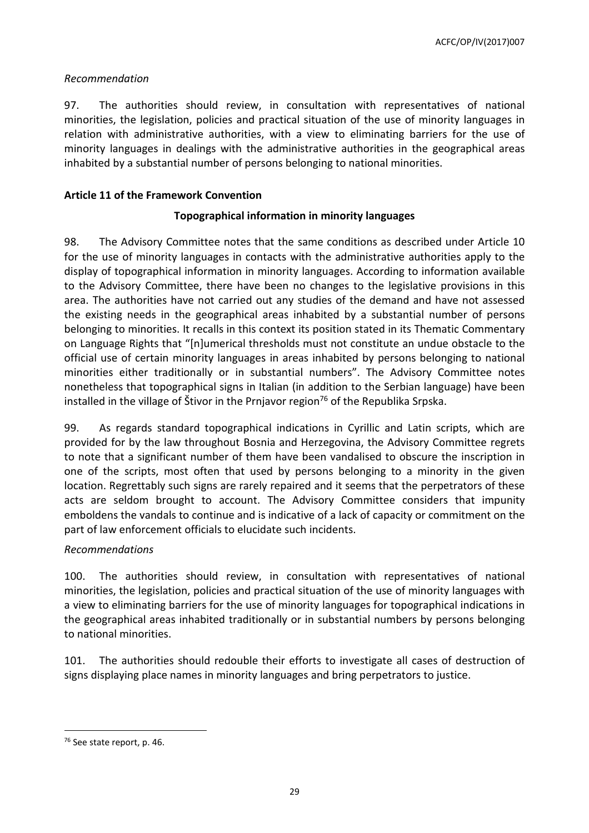ACFC/OP/IV(2017)007

## *Recommendation*

97. The authorities should review, in consultation with representatives of national minorities, the legislation, policies and practical situation of the use of minority languages in relation with administrative authorities, with a view to eliminating barriers for the use of minority languages in dealings with the administrative authorities in the geographical areas inhabited by a substantial number of persons belonging to national minorities.

## <span id="page-28-0"></span>**Article 11 of the Framework Convention**

# **Topographical information in minority languages**

98. The Advisory Committee notes that the same conditions as described under Article 10 for the use of minority languages in contacts with the administrative authorities apply to the display of topographical information in minority languages. According to information available to the Advisory Committee, there have been no changes to the legislative provisions in this area. The authorities have not carried out any studies of the demand and have not assessed the existing needs in the geographical areas inhabited by a substantial number of persons belonging to minorities. It recalls in this context its position stated in its Thematic Commentary on Language Rights that "[n]umerical thresholds must not constitute an undue obstacle to the official use of certain minority languages in areas inhabited by persons belonging to national minorities either traditionally or in substantial numbers". The Advisory Committee notes nonetheless that topographical signs in Italian (in addition to the Serbian language) have been installed in the village of Štivor in the Prnjavor region<sup>76</sup> of the Republika Srpska.

99. As regards standard topographical indications in Cyrillic and Latin scripts, which are provided for by the law throughout Bosnia and Herzegovina, the Advisory Committee regrets to note that a significant number of them have been vandalised to obscure the inscription in one of the scripts, most often that used by persons belonging to a minority in the given location. Regrettably such signs are rarely repaired and it seems that the perpetrators of these acts are seldom brought to account. The Advisory Committee considers that impunity emboldens the vandals to continue and is indicative of a lack of capacity or commitment on the part of law enforcement officials to elucidate such incidents.

# *Recommendations*

100. The authorities should review, in consultation with representatives of national minorities, the legislation, policies and practical situation of the use of minority languages with a view to eliminating barriers for the use of minority languages for topographical indications in the geographical areas inhabited traditionally or in substantial numbers by persons belonging to national minorities.

101. The authorities should redouble their efforts to investigate all cases of destruction of signs displaying place names in minority languages and bring perpetrators to justice.

<sup>76</sup> See state report, p. 46.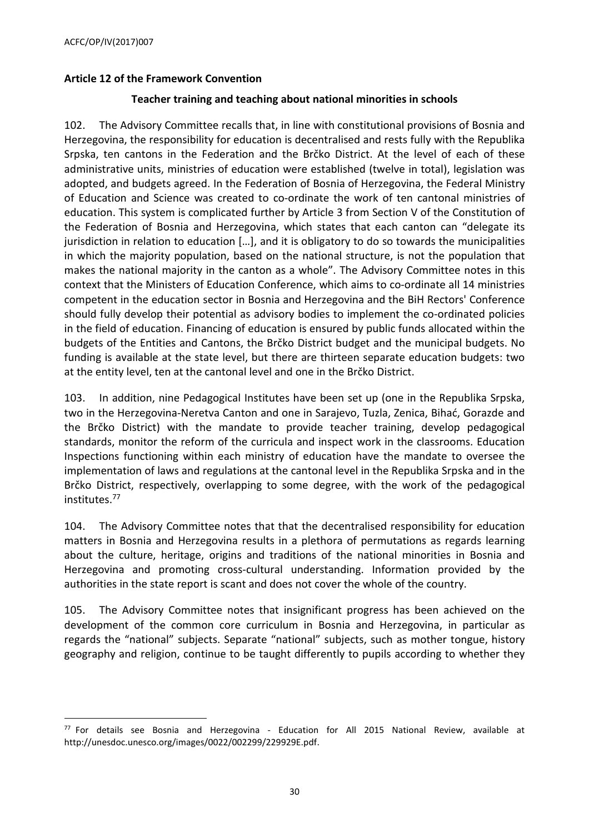## <span id="page-29-0"></span>**Article 12 of the Framework Convention**

#### **Teacher training and teaching about national minorities in schools**

102. The Advisory Committee recalls that, in line with constitutional provisions of Bosnia and Herzegovina, the responsibility for education is decentralised and rests fully with the Republika Srpska, ten cantons in the Federation and the Brčko District. At the level of each of these administrative units, ministries of education were established (twelve in total), legislation was adopted, and budgets agreed. In the Federation of Bosnia of Herzegovina, the Federal Ministry of Education and Science was created to co-ordinate the work of ten cantonal ministries of education. This system is complicated further by Article 3 from Section V of the Constitution of the Federation of Bosnia and Herzegovina, which states that each canton can "delegate its jurisdiction in relation to education […], and it is obligatory to do so towards the municipalities in which the majority population, based on the national structure, is not the population that makes the national majority in the canton as a whole". The Advisory Committee notes in this context that the Ministers of Education Conference, which aims to co-ordinate all 14 ministries competent in the education sector in Bosnia and Herzegovina and the BiH Rectors' Conference should fully develop their potential as advisory bodies to implement the co-ordinated policies in the field of education. Financing of education is ensured by public funds allocated within the budgets of the Entities and Cantons, the Brčko District budget and the municipal budgets. No funding is available at the state level, but there are thirteen separate education budgets: two at the entity level, ten at the cantonal level and one in the Brčko District.

103. In addition, nine Pedagogical Institutes have been set up (one in the Republika Srpska, two in the Herzegovina-Neretva Canton and one in Sarajevo, Tuzla, Zenica, Bihać, Gorazde and the Brčko District) with the mandate to provide teacher training, develop pedagogical standards, monitor the reform of the curricula and inspect work in the classrooms. Education Inspections functioning within each ministry of education have the mandate to oversee the implementation of laws and regulations at the cantonal level in the Republika Srpska and in the Brčko District, respectively, overlapping to some degree, with the work of the pedagogical institutes.<sup>77</sup>

104. The Advisory Committee notes that that the decentralised responsibility for education matters in Bosnia and Herzegovina results in a plethora of permutations as regards learning about the culture, heritage, origins and traditions of the national minorities in Bosnia and Herzegovina and promoting cross-cultural understanding. Information provided by the authorities in the state report is scant and does not cover the whole of the country.

105. The Advisory Committee notes that insignificant progress has been achieved on the development of the common core curriculum in Bosnia and Herzegovina, in particular as regards the "national" subjects. Separate "national" subjects, such as mother tongue, history geography and religion, continue to be taught differently to pupils according to whether they

<sup>77</sup> For details see Bosnia and Herzegovina - Education for All 2015 National Review, available at [http://unesdoc.unesco.org/images/0022/002299/229929E.pdf.](http://unesdoc.unesco.org/images/0022/002299/229929E.pdf)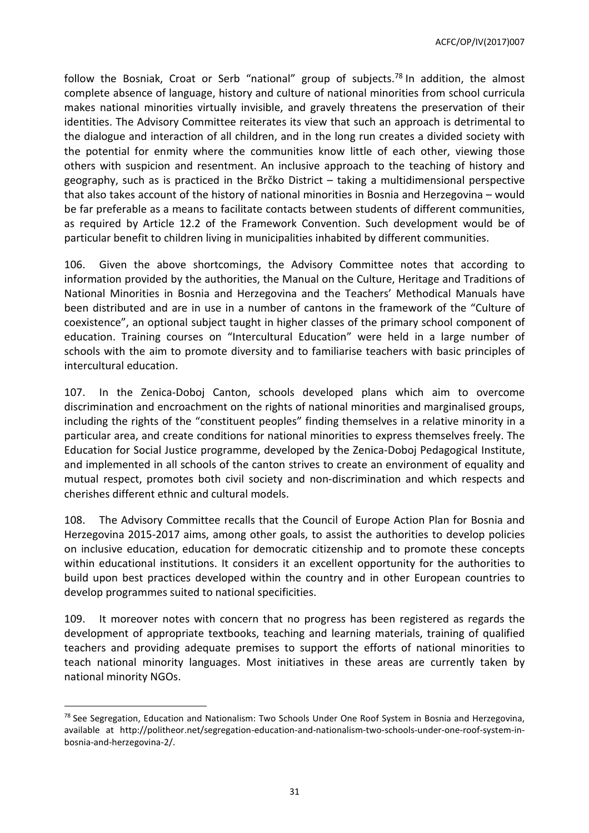ACFC/OP/IV(2017)007

follow the Bosniak, Croat or Serb "national" group of subjects.<sup>78</sup> In addition, the almost complete absence of language, history and culture of national minorities from school curricula makes national minorities virtually invisible, and gravely threatens the preservation of their identities. The Advisory Committee reiterates its view that such an approach is detrimental to the dialogue and interaction of all children, and in the long run creates a divided society with the potential for enmity where the communities know little of each other, viewing those others with suspicion and resentment. An inclusive approach to the teaching of history and geography, such as is practiced in the Brčko District – taking a multidimensional perspective that also takes account of the history of national minorities in Bosnia and Herzegovina – would be far preferable as a means to facilitate contacts between students of different communities, as required by Article 12.2 of the Framework Convention. Such development would be of particular benefit to children living in municipalities inhabited by different communities.

106. Given the above shortcomings, the Advisory Committee notes that according to information provided by the authorities, the Manual on the Culture, Heritage and Traditions of National Minorities in Bosnia and Herzegovina and the Teachers' Methodical Manuals have been distributed and are in use in a number of cantons in the framework of the "Culture of coexistence", an optional subject taught in higher classes of the primary school component of education. Training courses on "Intercultural Education" were held in a large number of schools with the aim to promote diversity and to familiarise teachers with basic principles of intercultural education.

107. In the Zenica-Doboj Canton, schools developed plans which aim to overcome discrimination and encroachment on the rights of national minorities and marginalised groups, including the rights of the "constituent peoples" finding themselves in a relative minority in a particular area, and create conditions for national minorities to express themselves freely. The Education for Social Justice programme, developed by the Zenica-Doboj Pedagogical Institute, and implemented in all schools of the canton strives to create an environment of equality and mutual respect, promotes both civil society and non-discrimination and which respects and cherishes different ethnic and cultural models.

108. The Advisory Committee recalls that the Council of Europe Action Plan for Bosnia and Herzegovina 2015-2017 aims, among other goals, to assist the authorities to develop policies on inclusive education, education for democratic citizenship and to promote these concepts within educational institutions. It considers it an excellent opportunity for the authorities to build upon best practices developed within the country and in other European countries to develop programmes suited to national specificities.

109. It moreover notes with concern that no progress has been registered as regards the development of appropriate textbooks, teaching and learning materials, training of qualified teachers and providing adequate premises to support the efforts of national minorities to teach national minority languages. Most initiatives in these areas are currently taken by national minority NGOs.

<sup>&</sup>lt;sup>78</sup> See Segregation, Education and Nationalism: Two Schools Under One Roof System in Bosnia and Herzegovina, available at http://politheor.net/segregation-education-and-nationalism-two-schools-under-one-roof-system-inbosnia-and-herzegovina-2/.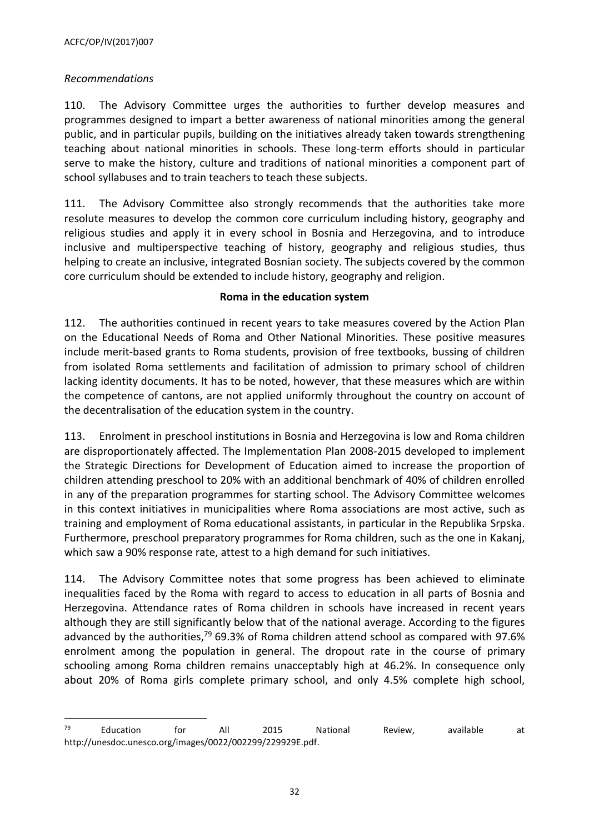# *Recommendations*

 $\overline{a}$ 

110. The Advisory Committee urges the authorities to further develop measures and programmes designed to impart a better awareness of national minorities among the general public, and in particular pupils, building on the initiatives already taken towards strengthening teaching about national minorities in schools. These long-term efforts should in particular serve to make the history, culture and traditions of national minorities a component part of school syllabuses and to train teachers to teach these subjects.

111. The Advisory Committee also strongly recommends that the authorities take more resolute measures to develop the common core curriculum including history, geography and religious studies and apply it in every school in Bosnia and Herzegovina, and to introduce inclusive and multiperspective teaching of history, geography and religious studies, thus helping to create an inclusive, integrated Bosnian society. The subjects covered by the common core curriculum should be extended to include history, geography and religion.

#### **Roma in the education system**

112. The authorities continued in recent years to take measures covered by the Action Plan on the Educational Needs of Roma and Other National Minorities. These positive measures include merit-based grants to Roma students, provision of free textbooks, bussing of children from isolated Roma settlements and facilitation of admission to primary school of children lacking identity documents. It has to be noted, however, that these measures which are within the competence of cantons, are not applied uniformly throughout the country on account of the decentralisation of the education system in the country.

113. Enrolment in preschool institutions in Bosnia and Herzegovina is low and Roma children are disproportionately affected. The Implementation Plan 2008-2015 developed to implement the Strategic Directions for Development of Education aimed to increase the proportion of children attending preschool to 20% with an additional benchmark of 40% of children enrolled in any of the preparation programmes for starting school. The Advisory Committee welcomes in this context initiatives in municipalities where Roma associations are most active, such as training and employment of Roma educational assistants, in particular in the Republika Srpska. Furthermore, preschool preparatory programmes for Roma children, such as the one in Kakanj, which saw a 90% response rate, attest to a high demand for such initiatives.

114. The Advisory Committee notes that some progress has been achieved to eliminate inequalities faced by the Roma with regard to access to education in all parts of Bosnia and Herzegovina. Attendance rates of Roma children in schools have increased in recent years although they are still significantly below that of the national average. According to the figures advanced by the authorities, <sup>79</sup> 69.3% of Roma children attend school as compared with 97.6% enrolment among the population in general. The dropout rate in the course of primary schooling among Roma children remains unacceptably high at 46.2%. In consequence only about 20% of Roma girls complete primary school, and only 4.5% complete high school,

 $^{79}$  Education for All 2015 National Review, available at [http://unesdoc.unesco.org/images/0022/002299/229929E.pdf.](http://unesdoc.unesco.org/images/0022/002299/229929E.pdf)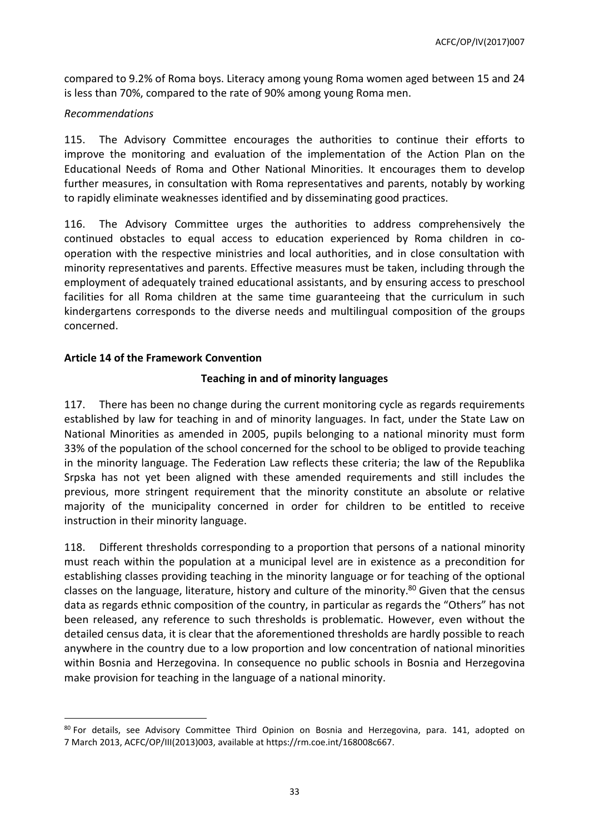compared to 9.2% of Roma boys. Literacy among young Roma women aged between 15 and 24 is less than 70%, compared to the rate of 90% among young Roma men.

## *Recommendations*

 $\overline{a}$ 

115. The Advisory Committee encourages the authorities to continue their efforts to improve the monitoring and evaluation of the implementation of the Action Plan on the Educational Needs of Roma and Other National Minorities. It encourages them to develop further measures, in consultation with Roma representatives and parents, notably by working to rapidly eliminate weaknesses identified and by disseminating good practices.

116. The Advisory Committee urges the authorities to address comprehensively the continued obstacles to equal access to education experienced by Roma children in cooperation with the respective ministries and local authorities, and in close consultation with minority representatives and parents. Effective measures must be taken, including through the employment of adequately trained educational assistants, and by ensuring access to preschool facilities for all Roma children at the same time guaranteeing that the curriculum in such kindergartens corresponds to the diverse needs and multilingual composition of the groups concerned.

## <span id="page-32-0"></span>**Article 14 of the Framework Convention**

## **Teaching in and of minority languages**

117. There has been no change during the current monitoring cycle as regards requirements established by law for teaching in and of minority languages. In fact, under the State Law on National Minorities as amended in 2005, pupils belonging to a national minority must form 33% of the population of the school concerned for the school to be obliged to provide teaching in the minority language. The Federation Law reflects these criteria; the law of the Republika Srpska has not yet been aligned with these amended requirements and still includes the previous, more stringent requirement that the minority constitute an absolute or relative majority of the municipality concerned in order for children to be entitled to receive instruction in their minority language.

118. Different thresholds corresponding to a proportion that persons of a national minority must reach within the population at a municipal level are in existence as a precondition for establishing classes providing teaching in the minority language or for teaching of the optional classes on the language, literature, history and culture of the minority.<sup>80</sup> Given that the census data as regards ethnic composition of the country, in particular as regards the "Others" has not been released, any reference to such thresholds is problematic. However, even without the detailed census data, it is clear that the aforementioned thresholds are hardly possible to reach anywhere in the country due to a low proportion and low concentration of national minorities within Bosnia and Herzegovina. In consequence no public schools in Bosnia and Herzegovina make provision for teaching in the language of a national minority.

<sup>80</sup> For details, see Advisory Committee Third Opinion on Bosnia and Herzegovina, para. 141, adopted on 7 March 2013, ACFC/OP/III(2013)003, available at [https://rm.coe.int/168008c667.](https://rm.coe.int/168008c667)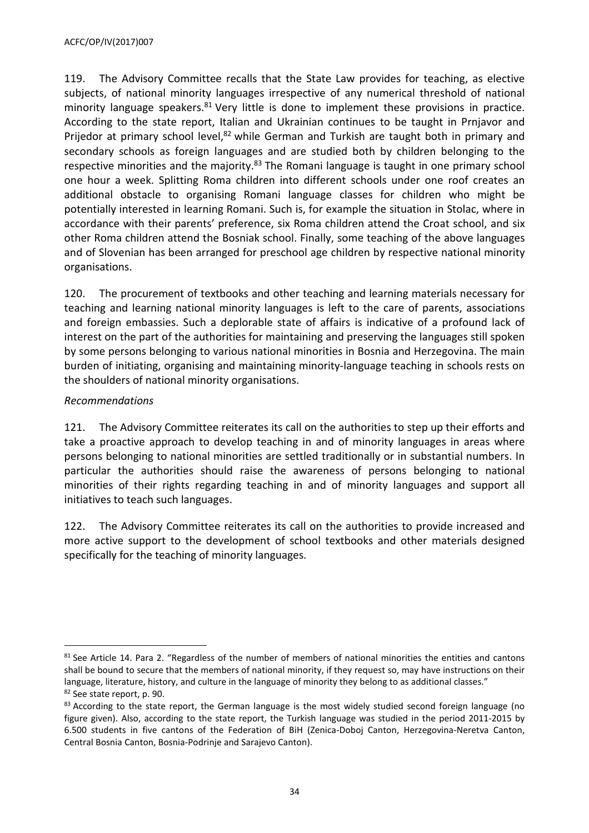119. The Advisory Committee recalls that the State Law provides for teaching, as elective subjects, of national minority languages irrespective of any numerical threshold of national minority language speakers. $81$  Very little is done to implement these provisions in practice. According to the state report, Italian and Ukrainian continues to be taught in Prnjavor and Prijedor at primary school level,<sup>82</sup> while German and Turkish are taught both in primary and secondary schools as foreign languages and are studied both by children belonging to the respective minorities and the majority.<sup>83</sup> The Romani language is taught in one primary school one hour a week. Splitting Roma children into different schools under one roof creates an additional obstacle to organising Romani language classes for children who might be potentially interested in learning Romani. Such is, for example the situation in Stolac, where in accordance with their parents' preference, six Roma children attend the Croat school, and six other Roma children attend the Bosniak school. Finally, some teaching of the above languages and of Slovenian has been arranged for preschool age children by respective national minority organisations.

120. The procurement of textbooks and other teaching and learning materials necessary for teaching and learning national minority languages is left to the care of parents, associations and foreign embassies. Such a deplorable state of affairs is indicative of a profound lack of interest on the part of the authorities for maintaining and preserving the languages still spoken by some persons belonging to various national minorities in Bosnia and Herzegovina. The main burden of initiating, organising and maintaining minority-language teaching in schools rests on the shoulders of national minority organisations.

# *Recommendations*

 $\overline{a}$ 

121. The Advisory Committee reiterates its call on the authorities to step up their efforts and take a proactive approach to develop teaching in and of minority languages in areas where persons belonging to national minorities are settled traditionally or in substantial numbers. In particular the authorities should raise the awareness of persons belonging to national minorities of their rights regarding teaching in and of minority languages and support all initiatives to teach such languages.

122. The Advisory Committee reiterates its call on the authorities to provide increased and more active support to the development of school textbooks and other materials designed specifically for the teaching of minority languages.

<sup>&</sup>lt;sup>81</sup> See Article 14. Para 2. "Regardless of the number of members of national minorities the entities and cantons shall be bound to secure that the members of national minority, if they request so, may have instructions on their language, literature, history, and culture in the language of minority they belong to as additional classes." 82 See state report, p. 90.

<sup>&</sup>lt;sup>83</sup> According to the state report, the German language is the most widely studied second foreign language (no figure given). Also, according to the state report, the Turkish language was studied in the period 2011-2015 by 6.500 students in five cantons of the Federation of BiH (Zenica-Doboj Canton, Herzegovina-Neretva Canton, Central Bosnia Canton, Bosnia-Podrinje and Sarajevo Canton).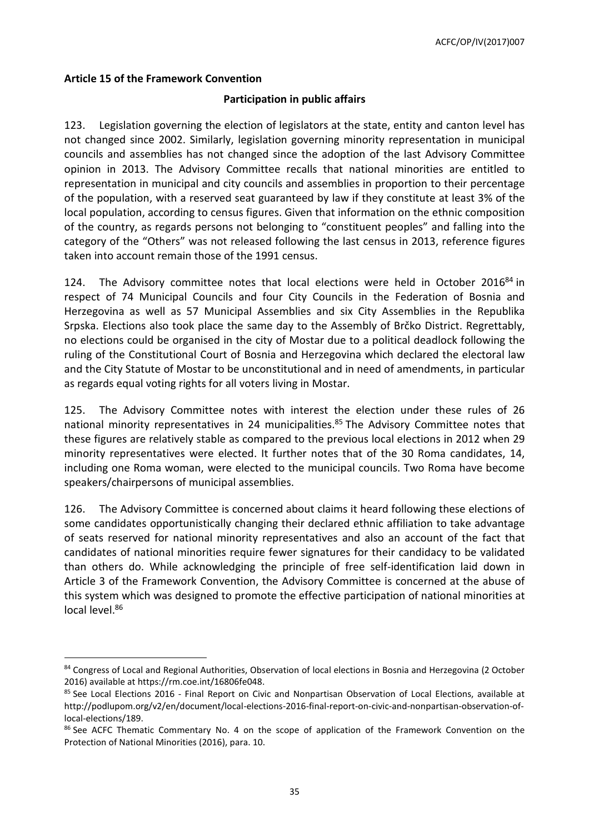#### <span id="page-34-0"></span>**Article 15 of the Framework Convention**

 $\overline{a}$ 

#### **Participation in public affairs**

123. Legislation governing the election of legislators at the state, entity and canton level has not changed since 2002. Similarly, legislation governing minority representation in municipal councils and assemblies has not changed since the adoption of the last Advisory Committee opinion in 2013. The Advisory Committee recalls that national minorities are entitled to representation in municipal and city councils and assemblies in proportion to their percentage of the population, with a reserved seat guaranteed by law if they constitute at least 3% of the local population, according to census figures. Given that information on the ethnic composition of the country, as regards persons not belonging to "constituent peoples" and falling into the category of the "Others" was not released following the last census in 2013, reference figures taken into account remain those of the 1991 census.

124. The Advisory committee notes that local elections were held in October 2016 $84$  in respect of 74 Municipal Councils and four City Councils in the Federation of Bosnia and Herzegovina as well as 57 Municipal Assemblies and six City Assemblies in the Republika Srpska. Elections also took place the same day to the Assembly of Brčko District. Regrettably, no elections could be organised in the city of Mostar due to a political deadlock following the ruling of the Constitutional Court of Bosnia and Herzegovina which declared the electoral law and the City Statute of Mostar to be unconstitutional and in need of amendments, in particular as regards equal voting rights for all voters living in Mostar.

125. The Advisory Committee notes with interest the election under these rules of 26 national minority representatives in 24 municipalities. <sup>85</sup> The Advisory Committee notes that these figures are relatively stable as compared to the previous local elections in 2012 when 29 minority representatives were elected. It further notes that of the 30 Roma candidates, 14, including one Roma woman, were elected to the municipal councils. Two Roma have become speakers/chairpersons of municipal assemblies.

126. The Advisory Committee is concerned about claims it heard following these elections of some candidates opportunistically changing their declared ethnic affiliation to take advantage of seats reserved for national minority representatives and also an account of the fact that candidates of national minorities require fewer signatures for their candidacy to be validated than others do. While acknowledging the principle of free self-identification laid down in Article 3 of the Framework Convention, the Advisory Committee is concerned at the abuse of this system which was designed to promote the effective participation of national minorities at local level.<sup>86</sup>

<sup>84</sup> Congress of Local and Regional Authorities, Observation of local elections in Bosnia and Herzegovina (2 October 2016) available at [https://rm.coe.int/16806fe048.](https://rm.coe.int/16806fe048)

<sup>&</sup>lt;sup>85</sup> See Local Elections 2016 - Final Report on Civic and Nonpartisan Observation of Local Elections, available at [http://podlupom.org/v2/en/document/local-elections-2016-final-report-on-civic-and-nonpartisan-observation-of](http://podlupom.org/v2/en/document/local-elections-2016-final-report-on-civic-and-nonpartisan-observation-of-local-elections/189)[local-elections/189.](http://podlupom.org/v2/en/document/local-elections-2016-final-report-on-civic-and-nonpartisan-observation-of-local-elections/189)

<sup>&</sup>lt;sup>86</sup> See ACFC Thematic Commentary No. 4 on the scope of application of the Framework Convention on the Protection of National Minorities (2016), para. 10.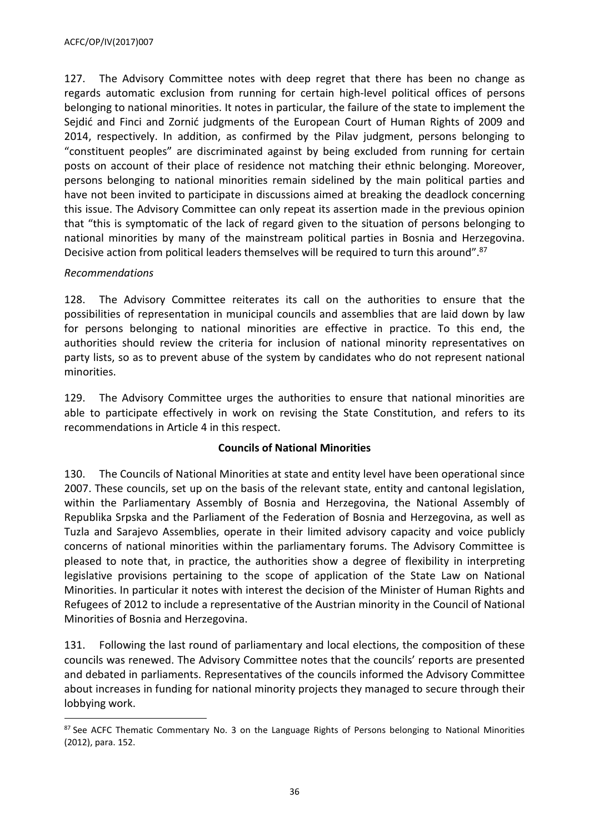127. The Advisory Committee notes with deep regret that there has been no change as regards automatic exclusion from running for certain high-level political offices of persons belonging to national minorities. It notes in particular, the failure of the state to implement the Sejdić and Finci and Zornić judgments of the European Court of Human Rights of 2009 and 2014, respectively. In addition, as confirmed by the Pilav judgment, persons belonging to "constituent peoples" are discriminated against by being excluded from running for certain posts on account of their place of residence not matching their ethnic belonging. Moreover, persons belonging to national minorities remain sidelined by the main political parties and have not been invited to participate in discussions aimed at breaking the deadlock concerning this issue. The Advisory Committee can only repeat its assertion made in the previous opinion that "this is symptomatic of the lack of regard given to the situation of persons belonging to national minorities by many of the mainstream political parties in Bosnia and Herzegovina. Decisive action from political leaders themselves will be required to turn this around".<sup>87</sup>

# *Recommendations*

 $\overline{a}$ 

128. The Advisory Committee reiterates its call on the authorities to ensure that the possibilities of representation in municipal councils and assemblies that are laid down by law for persons belonging to national minorities are effective in practice. To this end, the authorities should review the criteria for inclusion of national minority representatives on party lists, so as to prevent abuse of the system by candidates who do not represent national minorities.

129. The Advisory Committee urges the authorities to ensure that national minorities are able to participate effectively in work on revising the State Constitution, and refers to its recommendations in Article 4 in this respect.

# **Councils of National Minorities**

130. The Councils of National Minorities at state and entity level have been operational since 2007. These councils, set up on the basis of the relevant state, entity and cantonal legislation, within the Parliamentary Assembly of Bosnia and Herzegovina, the National Assembly of Republika Srpska and the Parliament of the Federation of Bosnia and Herzegovina, as well as Tuzla and Sarajevo Assemblies, operate in their limited advisory capacity and voice publicly concerns of national minorities within the parliamentary forums. The Advisory Committee is pleased to note that, in practice, the authorities show a degree of flexibility in interpreting legislative provisions pertaining to the scope of application of the State Law on National Minorities. In particular it notes with interest the decision of the Minister of Human Rights and Refugees of 2012 to include a representative of the Austrian minority in the Council of National Minorities of Bosnia and Herzegovina.

131. Following the last round of parliamentary and local elections, the composition of these councils was renewed. The Advisory Committee notes that the councils' reports are presented and debated in parliaments. Representatives of the councils informed the Advisory Committee about increases in funding for national minority projects they managed to secure through their lobbying work.

<sup>87</sup> See ACFC Thematic Commentary No. 3 on the Language Rights of Persons belonging to National Minorities (2012), para. 152.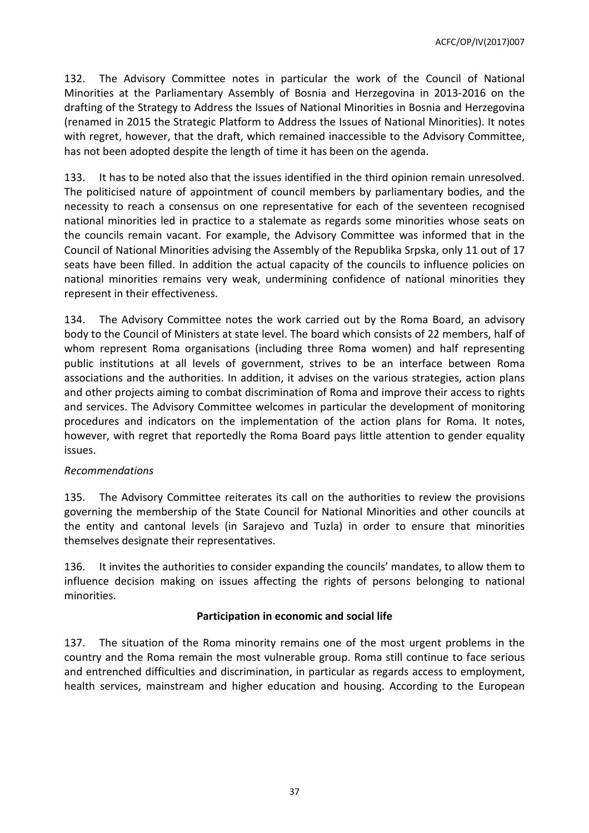132. The Advisory Committee notes in particular the work of the Council of National Minorities at the Parliamentary Assembly of Bosnia and Herzegovina in 2013-2016 on the drafting of the Strategy to Address the Issues of National Minorities in Bosnia and Herzegovina (renamed in 2015 the Strategic Platform to Address the Issues of National Minorities). It notes with regret, however, that the draft, which remained inaccessible to the Advisory Committee, has not been adopted despite the length of time it has been on the agenda.

133. It has to be noted also that the issues identified in the third opinion remain unresolved. The politicised nature of appointment of council members by parliamentary bodies, and the necessity to reach a consensus on one representative for each of the seventeen recognised national minorities led in practice to a stalemate as regards some minorities whose seats on the councils remain vacant. For example, the Advisory Committee was informed that in the Council of National Minorities advising the Assembly of the Republika Srpska, only 11 out of 17 seats have been filled. In addition the actual capacity of the councils to influence policies on national minorities remains very weak, undermining confidence of national minorities they represent in their effectiveness.

134. The Advisory Committee notes the work carried out by the Roma Board, an advisory body to the Council of Ministers at state level. The board which consists of 22 members, half of whom represent Roma organisations (including three Roma women) and half representing public institutions at all levels of government, strives to be an interface between Roma associations and the authorities. In addition, it advises on the various strategies, action plans and other projects aiming to combat discrimination of Roma and improve their access to rights and services. The Advisory Committee welcomes in particular the development of monitoring procedures and indicators on the implementation of the action plans for Roma. It notes, however, with regret that reportedly the Roma Board pays little attention to gender equality issues.

#### *Recommendations*

135. The Advisory Committee reiterates its call on the authorities to review the provisions governing the membership of the State Council for National Minorities and other councils at the entity and cantonal levels (in Sarajevo and Tuzla) in order to ensure that minorities themselves designate their representatives.

136. It invites the authorities to consider expanding the councils' mandates, to allow them to influence decision making on issues affecting the rights of persons belonging to national minorities.

#### **Participation in economic and social life**

137. The situation of the Roma minority remains one of the most urgent problems in the country and the Roma remain the most vulnerable group. Roma still continue to face serious and entrenched difficulties and discrimination, in particular as regards access to employment, health services, mainstream and higher education and housing. According to the European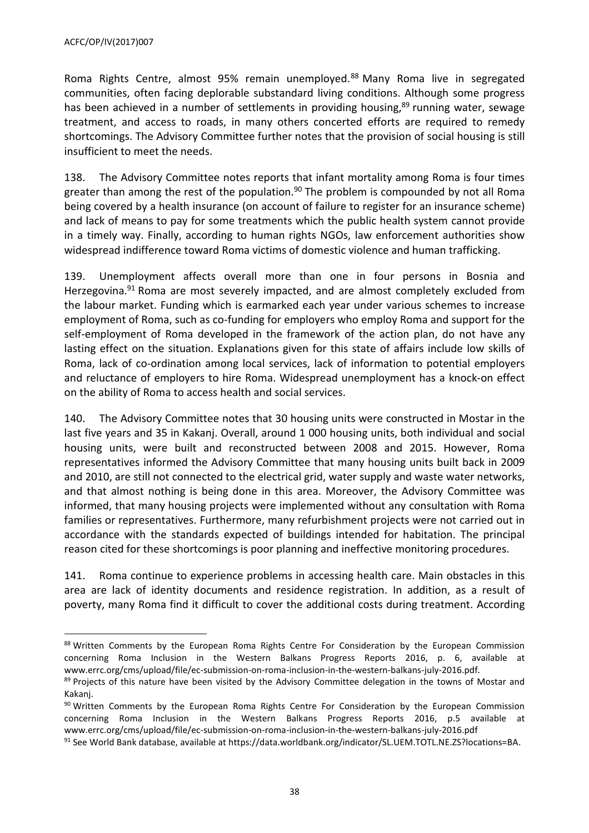Roma Rights Centre, almost 95% remain unemployed.<sup>88</sup> Many Roma live in segregated communities, often facing deplorable substandard living conditions. Although some progress has been achieved in a number of settlements in providing housing,<sup>89</sup> running water, sewage treatment, and access to roads, in many others concerted efforts are required to remedy shortcomings. The Advisory Committee further notes that the provision of social housing is still insufficient to meet the needs.

138. The Advisory Committee notes reports that infant mortality among Roma is four times greater than among the rest of the population.<sup>90</sup> The problem is compounded by not all Roma being covered by a health insurance (on account of failure to register for an insurance scheme) and lack of means to pay for some treatments which the public health system cannot provide in a timely way. Finally, according to human rights NGOs, law enforcement authorities show widespread indifference toward Roma victims of domestic violence and human trafficking.

139. Unemployment affects overall more than one in four persons in Bosnia and Herzegovina.<sup>91</sup> Roma are most severely impacted, and are almost completely excluded from the labour market. Funding which is earmarked each year under various schemes to increase employment of Roma, such as co-funding for employers who employ Roma and support for the self-employment of Roma developed in the framework of the action plan, do not have any lasting effect on the situation. Explanations given for this state of affairs include low skills of Roma, lack of co-ordination among local services, lack of information to potential employers and reluctance of employers to hire Roma. Widespread unemployment has a knock-on effect on the ability of Roma to access health and social services.

140. The Advisory Committee notes that 30 housing units were constructed in Mostar in the last five years and 35 in Kakanj. Overall, around 1 000 housing units, both individual and social housing units, were built and reconstructed between 2008 and 2015. However, Roma representatives informed the Advisory Committee that many housing units built back in 2009 and 2010, are still not connected to the electrical grid, water supply and waste water networks, and that almost nothing is being done in this area. Moreover, the Advisory Committee was informed, that many housing projects were implemented without any consultation with Roma families or representatives. Furthermore, many refurbishment projects were not carried out in accordance with the standards expected of buildings intended for habitation. The principal reason cited for these shortcomings is poor planning and ineffective monitoring procedures.

141. Roma continue to experience problems in accessing health care. Main obstacles in this area are lack of identity documents and residence registration. In addition, as a result of poverty, many Roma find it difficult to cover the additional costs during treatment. According

<sup>88</sup> Written Comments by the European Roma Rights Centre For Consideration by the European Commission concerning Roma Inclusion in the Western Balkans Progress Reports 2016, p. 6, available at www.errc.org/cms/upload/file/ec-submission-on-roma-inclusion-in-the-western-balkans-july-2016.pdf.

<sup>&</sup>lt;sup>89</sup> Projects of this nature have been visited by the Advisory Committee delegation in the towns of Mostar and Kakanj.

 $90$  Written Comments by the European Roma Rights Centre For Consideration by the European Commission concerning Roma Inclusion in the Western Balkans Progress Reports 2016, p.5 available at www.errc.org/cms/upload/file/ec-submission-on-roma-inclusion-in-the-western-balkans-july-2016.pdf

<sup>91</sup> See World Bank database, available at [https://data.worldbank.org/indicator/SL.UEM.TOTL.NE.ZS?locations=BA.](https://data.worldbank.org/indicator/SL.UEM.TOTL.NE.ZS?locations=BA)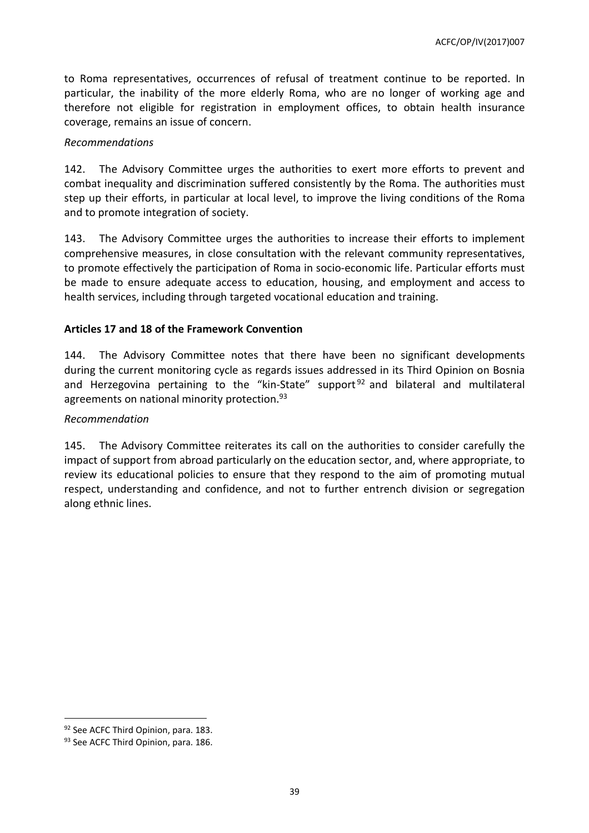to Roma representatives, occurrences of refusal of treatment continue to be reported. In particular, the inability of the more elderly Roma, who are no longer of working age and therefore not eligible for registration in employment offices, to obtain health insurance coverage, remains an issue of concern.

#### *Recommendations*

142. The Advisory Committee urges the authorities to exert more efforts to prevent and combat inequality and discrimination suffered consistently by the Roma. The authorities must step up their efforts, in particular at local level, to improve the living conditions of the Roma and to promote integration of society.

143. The Advisory Committee urges the authorities to increase their efforts to implement comprehensive measures, in close consultation with the relevant community representatives, to promote effectively the participation of Roma in socio-economic life. Particular efforts must be made to ensure adequate access to education, housing, and employment and access to health services, including through targeted vocational education and training.

## <span id="page-38-0"></span>**Articles 17 and 18 of the Framework Convention**

144. The Advisory Committee notes that there have been no significant developments during the current monitoring cycle as regards issues addressed in its Third Opinion on Bosnia and Herzegovina pertaining to the "kin-State" support<sup>92</sup> and bilateral and multilateral agreements on national minority protection.<sup>93</sup>

#### *Recommendation*

145. The Advisory Committee reiterates its call on the authorities to consider carefully the impact of support from abroad particularly on the education sector, and, where appropriate, to review its educational policies to ensure that they respond to the aim of promoting mutual respect, understanding and confidence, and not to further entrench division or segregation along ethnic lines.

<sup>92</sup> See ACFC Third Opinion, para. 183.

<sup>93</sup> See ACFC Third Opinion, para. 186.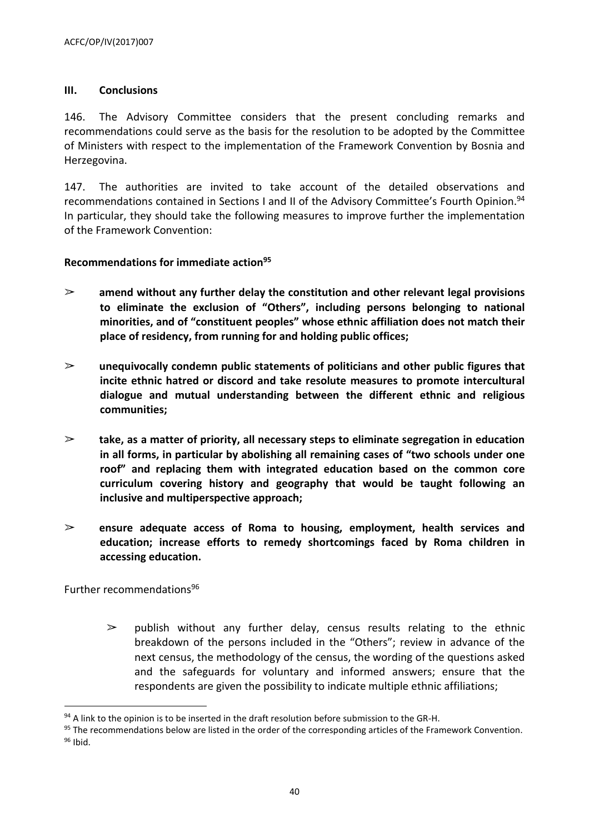#### <span id="page-39-0"></span>**III. Conclusions**

146. The Advisory Committee considers that the present concluding remarks and recommendations could serve as the basis for the resolution to be adopted by the Committee of Ministers with respect to the implementation of the Framework Convention by Bosnia and Herzegovina.

147. The authorities are invited to take account of the detailed observations and recommendations contained in Sections I and II of the Advisory Committee's Fourth Opinion.<sup>94</sup> In particular, they should take the following measures to improve further the implementation of the Framework Convention:

#### <span id="page-39-1"></span>**Recommendations for immediate action<sup>95</sup>**

- ➢ **amend without any further delay the constitution and other relevant legal provisions to eliminate the exclusion of "Others", including persons belonging to national minorities, and of "constituent peoples" whose ethnic affiliation does not match their place of residency, from running for and holding public offices;**
- ➢ **unequivocally condemn public statements of politicians and other public figures that incite ethnic hatred or discord and take resolute measures to promote intercultural dialogue and mutual understanding between the different ethnic and religious communities;**
- ➢ **take, as a matter of priority, all necessary steps to eliminate segregation in education in all forms, in particular by abolishing all remaining cases of "two schools under one roof" and replacing them with integrated education based on the common core curriculum covering history and geography that would be taught following an inclusive and multiperspective approach;**
- ➢ **ensure adequate access of Roma to housing, employment, health services and education; increase efforts to remedy shortcomings faced by Roma children in accessing education.**

<span id="page-39-2"></span>Further recommendations<sup>96</sup>

 $\overline{a}$ 

 $\geq$  publish without any further delay, census results relating to the ethnic breakdown of the persons included in the "Others"; review in advance of the next census, the methodology of the census, the wording of the questions asked and the safeguards for voluntary and informed answers; ensure that the respondents are given the possibility to indicate multiple ethnic affiliations;

 $94$  A link to the opinion is to be inserted in the draft resolution before submission to the GR-H.

<sup>95</sup> The recommendations below are listed in the order of the corresponding articles of the Framework Convention.  $96$  Ibid.